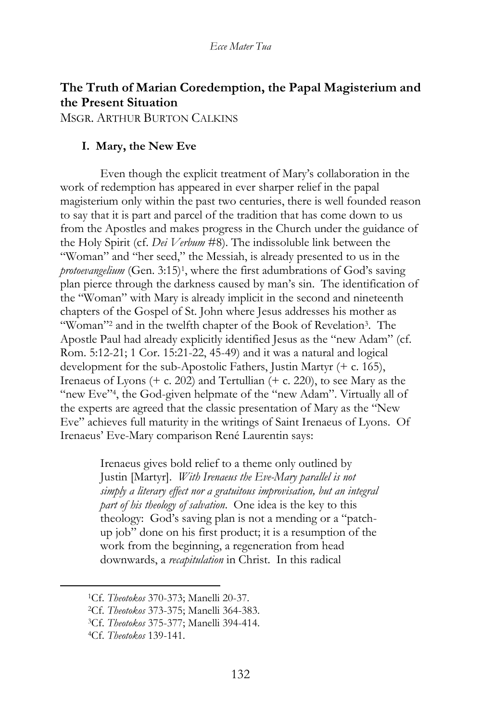# **The Truth of Marian Coredemption, the Papal Magisterium and the Present Situation**

MSGR. ARTHUR BURTON CALKINS

### **I. Mary, the New Eve**

Even though the explicit treatment of Mary's collaboration in the work of redemption has appeared in ever sharper relief in the papal magisterium only within the past two centuries, there is well founded reason to say that it is part and parcel of the tradition that has come down to us from the Apostles and makes progress in the Church under the guidance of the Holy Spirit (cf. *Dei Verbum* #8). The indissoluble link between the "Woman" and "her seed," the Messiah, is already presented to us in the protoevangelium (Gen. 3:15)<sup>1</sup>, where the first adumbrations of God's saving plan pierce through the darkness caused by man's sin. The identification of the "Woman" with Mary is already implicit in the second and nineteenth chapters of the Gospel of St. John where Jesus addresses his mother as "Woman"<sup>2</sup> and in the twelfth chapter of the Book of Revelation<sup>3</sup>. The Apostle Paul had already explicitly identified Jesus as the "new Adam" (cf. Rom. 5:12-21; 1 Cor. 15:21-22, 45-49) and it was a natural and logical development for the sub-Apostolic Fathers, Justin Martyr (+ c. 165), Irenaeus of Lyons (+ c. 202) and Tertullian (+ c. 220), to see Mary as the "new Eve"<sup>4</sup>, the God-given helpmate of the "new Adam". Virtually all of the experts are agreed that the classic presentation of Mary as the "New Eve" achieves full maturity in the writings of Saint Irenaeus of Lyons. Of Irenaeus' Eve-Mary comparison René Laurentin says:

> Irenaeus gives bold relief to a theme only outlined by Justin [Martyr]. *With Irenaeus the Eve-Mary parallel is not simply a literary effect nor a gratuitous improvisation, but an integral part of his theology of salvation*. One idea is the key to this theology: God's saving plan is not a mending or a "patchup job" done on his first product; it is a resumption of the work from the beginning, a regeneration from head downwards, a *recapitulation* in Christ. In this radical

<sup>1</sup>Cf. *Theotokos* 370-373; Manelli 20-37.

<sup>2</sup>Cf. *Theotokos* 373-375; Manelli 364-383.

<sup>3</sup>Cf. *Theotokos* 375-377; Manelli 394-414.

<sup>4</sup>Cf. *Theotokos* 139-141.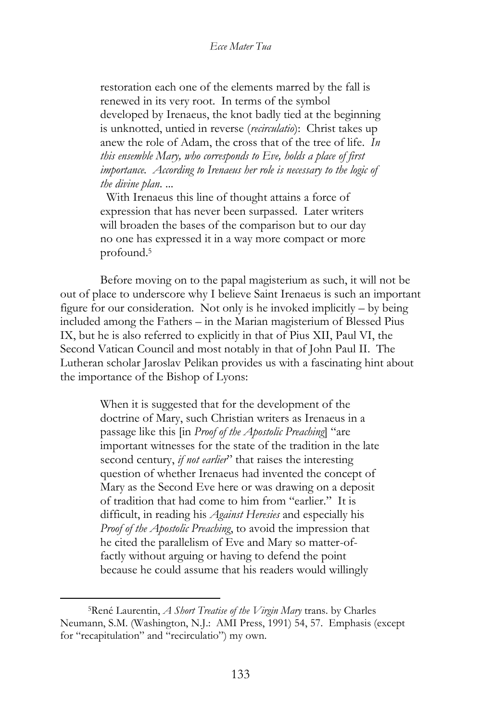restoration each one of the elements marred by the fall is renewed in its very root. In terms of the symbol developed by Irenaeus, the knot badly tied at the beginning is unknotted, untied in reverse (*recirculatio*): Christ takes up anew the role of Adam, the cross that of the tree of life. *In this ensemble Mary, who corresponds to Eve, holds a place of first importance. According to Irenaeus her role is necessary to the logic of the divine plan*. ...

 With Irenaeus this line of thought attains a force of expression that has never been surpassed. Later writers will broaden the bases of the comparison but to our day no one has expressed it in a way more compact or more profound.<sup>5</sup>

Before moving on to the papal magisterium as such, it will not be out of place to underscore why I believe Saint Irenaeus is such an important figure for our consideration. Not only is he invoked implicitly – by being included among the Fathers – in the Marian magisterium of Blessed Pius IX, but he is also referred to explicitly in that of Pius XII, Paul VI, the Second Vatican Council and most notably in that of John Paul II. The Lutheran scholar Jaroslav Pelikan provides us with a fascinating hint about the importance of the Bishop of Lyons:

> When it is suggested that for the development of the doctrine of Mary, such Christian writers as Irenaeus in a passage like this [in *Proof of the Apostolic Preaching*] "are important witnesses for the state of the tradition in the late second century, *if not earlier*" that raises the interesting question of whether Irenaeus had invented the concept of Mary as the Second Eve here or was drawing on a deposit of tradition that had come to him from "earlier." It is difficult, in reading his *Against Heresies* and especially his *Proof of the Apostolic Preaching*, to avoid the impression that he cited the parallelism of Eve and Mary so matter-offactly without arguing or having to defend the point because he could assume that his readers would willingly

<sup>5</sup>René Laurentin, *A Short Treatise of the Virgin Mary* trans. by Charles Neumann, S.M. (Washington, N.J.: AMI Press, 1991) 54, 57. Emphasis (except for "recapitulation" and "recirculatio") my own.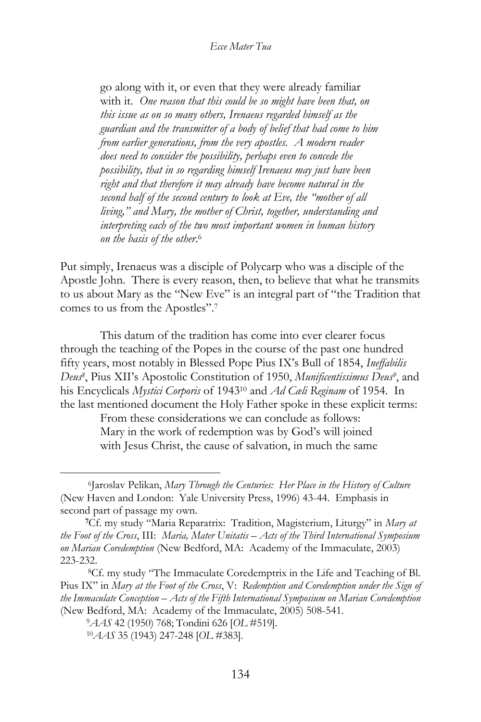go along with it, or even that they were already familiar with it. *One reason that this could be so might have been that, on this issue as on so many others, Irenaeus regarded himself as the guardian and the transmitter of a body of belief that had come to him from earlier generations, from the very apostles. A modern reader does need to consider the possibility, perhaps even to concede the possibility, that in so regarding himself Irenaeus may just have been right and that therefore it may already have become natural in the second half of the second century to look at Eve, the "mother of all living," and Mary, the mother of Christ, together, understanding and interpreting each of the two most important women in human history on the basis of the other*. 6

Put simply, Irenaeus was a disciple of Polycarp who was a disciple of the Apostle John. There is every reason, then, to believe that what he transmits to us about Mary as the "New Eve" is an integral part of "the Tradition that comes to us from the Apostles".<sup>7</sup>

This datum of the tradition has come into ever clearer focus through the teaching of the Popes in the course of the past one hundred fifty years, most notably in Blessed Pope Pius IX's Bull of 1854, *Ineffabilis Deus<sup>8</sup>* , Pius XII's Apostolic Constitution of 1950, *Munificentissimus Deus<sup>9</sup>* , and his Encyclicals *Mystici Corporis* of 1943<sup>10</sup> and *Ad Cæli Reginam* of 1954. In the last mentioned document the Holy Father spoke in these explicit terms:

> From these considerations we can conclude as follows: Mary in the work of redemption was by God's will joined with Jesus Christ, the cause of salvation, in much the same

<sup>6</sup> Jaroslav Pelikan, *Mary Through the Centuries: Her Place in the History of Culture* (New Haven and London: Yale University Press, 1996) 43-44. Emphasis in second part of passage my own.

**<sup>7</sup>**Cf. my study "Maria Reparatrix: Tradition, Magisterium, Liturgy" in *Mary at the Foot of the Cross*, III: *Maria, Mater Unitatis – Acts of the Third International Symposium on Marian Coredemption* (New Bedford, MA: Academy of the Immaculate, 2003) 223-232.

<sup>8</sup>Cf. my study "The Immaculate Coredemptrix in the Life and Teaching of Bl. Pius IX" in *Mary at the Foot of the Cross*, V: *Redemption and Coredemption under the Sign of the Immaculate Conception – Acts of the Fifth International Symposium on Marian Coredemption* (New Bedford, MA: Academy of the Immaculate, 2005) 508-541.

<sup>9</sup>*AAS* 42 (1950) 768; Tondini 626 [*OL* #519].

<sup>10</sup>*AAS* 35 (1943) 247-248 [*OL* #383].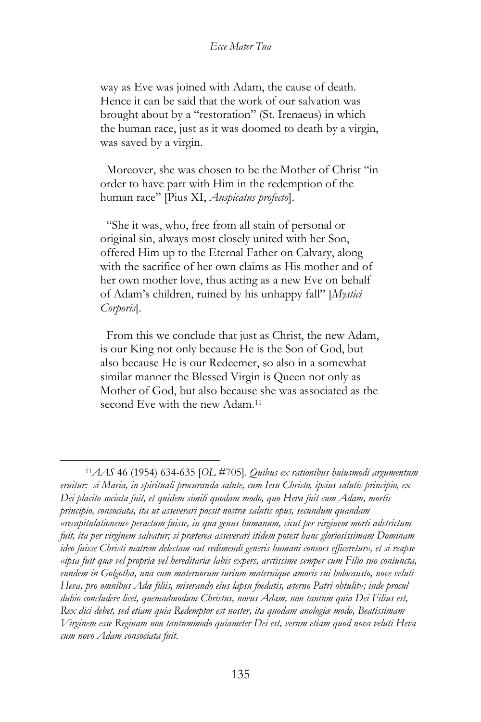way as Eve was joined with Adam, the cause of death. Hence it can be said that the work of our salvation was brought about by a "restoration" (St. Irenaeus) in which the human race, just as it was doomed to death by a virgin, was saved by a virgin.

 Moreover, she was chosen to be the Mother of Christ "in order to have part with Him in the redemption of the human race" [Pius XI, *Auspicatus profecto*].

 "She it was, who, free from all stain of personal or original sin, always most closely united with her Son, offered Him up to the Eternal Father on Calvary, along with the sacrifice of her own claims as His mother and of her own mother love, thus acting as a new Eve on behalf of Adam's children, ruined by his unhappy fall" [*Mystici Corporis*].

 From this we conclude that just as Christ, the new Adam, is our King not only because He is the Son of God, but also because He is our Redeemer, so also in a somewhat similar manner the Blessed Virgin is Queen not only as Mother of God, but also because she was associated as the second Eve with the new Adam.<sup>11</sup>

<sup>11</sup>*AAS* 46 (1954) 634-635 [*OL* #705]. *Quibus ex rationibus huiusmodi argumentum eruitur: si Maria, in spirituali procuranda salute, cum Iesu Christo, ipsius salutis principio, ex Dei placito sociata fuit, et quidem simili quodam modo, quo Heva fuit cum Adam, mortis principio, consociata, ita ut asseverari possit nostræ salutis opus, secundum quandam «recapitulationem» peractum fuisse, in qua genus humanum, sicut per virginem morti adstrictum fuit, ita per virginem salvatur; si præterea asseverari itidem potest hanc gloriosissimam Dominam ideo fuisse Christi matrem delectam «ut redimendi generis humani consors efficeretur», et si reapse «ipsa fuit quæ vel propriæ vel hereditariæ labis expers, arctissime semper cum Filio suo coniuncta, eundem in Golgotha, una cum maternorum iurium maternique amoris sui holocausto, nove veluti Heva, pro omnibus Adæ filiis, miserando eius lapsu foedatis, æterno Patri obtulit»; inde procul dubio concludere licet, quemadmodum Christus, novus Adam, non tantum quia Dei Filius est, Rex dici debet, sed etiam quia Redemptor est noster, ita quodam anologiæ modo, Beatissimam Virginem esse Reginam non tantummodo quiameter Dei est, verum etiam quod nova veluti Heva cum novo Adam consociata fuit*.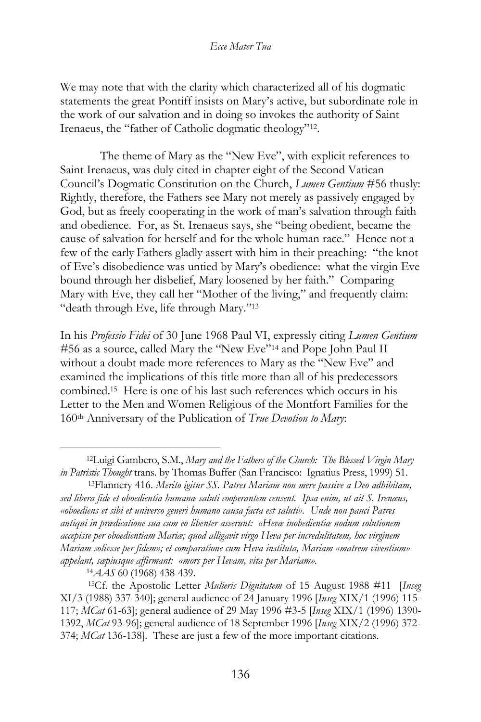We may note that with the clarity which characterized all of his dogmatic statements the great Pontiff insists on Mary's active, but subordinate role in the work of our salvation and in doing so invokes the authority of Saint Irenaeus, the "father of Catholic dogmatic theology"<sup>12</sup> .

The theme of Mary as the "New Eve", with explicit references to Saint Irenaeus, was duly cited in chapter eight of the Second Vatican Council's Dogmatic Constitution on the Church, *Lumen Gentium* #56 thusly: Rightly, therefore, the Fathers see Mary not merely as passively engaged by God, but as freely cooperating in the work of man's salvation through faith and obedience. For, as St. Irenaeus says, she "being obedient, became the cause of salvation for herself and for the whole human race." Hence not a few of the early Fathers gladly assert with him in their preaching: "the knot of Eve's disobedience was untied by Mary's obedience: what the virgin Eve bound through her disbelief, Mary loosened by her faith." Comparing Mary with Eve, they call her "Mother of the living," and frequently claim: "death through Eve, life through Mary."<sup>13</sup>

In his *Professio Fidei* of 30 June 1968 Paul VI, expressly citing *Lumen Gentium* #56 as a source, called Mary the "New Eve"<sup>14</sup> and Pope John Paul II without a doubt made more references to Mary as the "New Eve" and examined the implications of this title more than all of his predecessors combined.<sup>15</sup> Here is one of his last such references which occurs in his Letter to the Men and Women Religious of the Montfort Families for the 160th Anniversary of the Publication of *True Devotion to Mary*:

<sup>12</sup>Luigi Gambero, S.M., *Mary and the Fathers of the Church: The Blessed Virgin Mary in Patristic Thought* trans. by Thomas Buffer (San Francisco: Ignatius Press, 1999) 51.

<sup>13</sup>Flannery 416. *Merito igitur SS. Patres Mariam non mere passive a Deo adhibitam, sed libera fide et oboedientia humanæ saluti cooperantem censent. Ipsa enim, ut ait S. Irenæus, «oboediens et sibi et universo generi humano causa facta est saluti». Unde non pauci Patres antiqui in prædicatione sua cum eo libenter asserunt: «Hevæ inobedientiæ nodum solutionem accepisse per oboedientiam Mariæ; quod alligavit virgo Heva per incredulitatem, hoc virginem Mariam solivsse per fidem»; et comparatione cum Heva instituta, Mariam «matrem viventium» appelant, sæpiusque affirmant: «mors per Hevam, vita per Mariam».*

<sup>14</sup>*AAS* 60 (1968) 438-439.

<sup>15</sup>Cf. the Apostolic Letter *Mulieris Dignitatem* of 15 August 1988 #11 [*Inseg* XI/3 (1988) 337-340]; general audience of 24 January 1996 [*Inseg* XIX/1 (1996) 115- 117; *MCat* 61-63]; general audience of 29 May 1996 #3-5 [*Inseg* XIX/1 (1996) 1390- 1392, *MCat* 93-96]; general audience of 18 September 1996 [*Inseg* XIX/2 (1996) 372- 374; *MCat* 136-138]. These are just a few of the more important citations.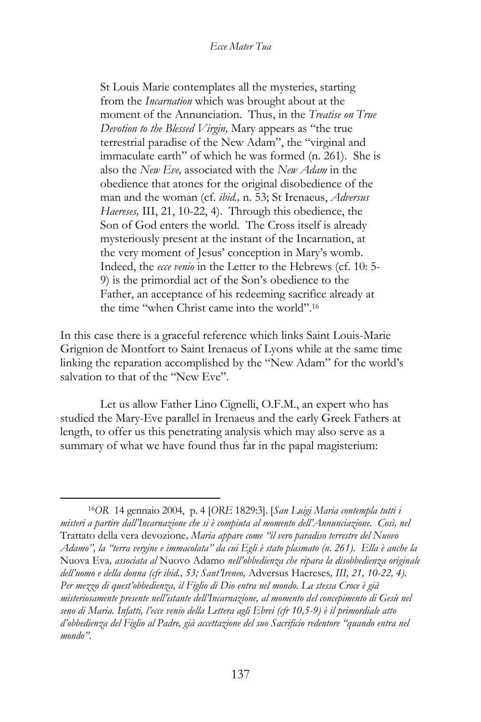St Louis Marie contemplates all the mysteries, starting from the *Incarnation* which was brought about at the moment of the Annunciation. Thus, in the *Treatise on True Devotion to the Blessed Virgin,* Mary appears as "the true terrestrial paradise of the New Adam", the "virginal and immaculate earth" of which he was formed (n. 261). She is also the *New Eve,* associated with the *New Adam* in the obedience that atones for the original disobedience of the man and the woman (cf. *ibid.,* n. 53; St Irenaeus, *Adversus Haereses,* III, 21, 10-22, 4). Through this obedience, the Son of God enters the world. The Cross itself is already mysteriously present at the instant of the Incarnation, at the very moment of Jesus' conception in Mary's womb. Indeed, the *ecce venio* in the Letter to the Hebrews (cf. 10: 5- 9) is the primordial act of the Son's obedience to the Father, an acceptance of his redeeming sacrifice already at the time "when Christ came into the world".<sup>16</sup>

In this case there is a graceful reference which links Saint Louis-Marie Grignion de Montfort to Saint Irenaeus of Lyons while at the same time linking the reparation accomplished by the "New Adam" for the world's salvation to that of the "New Eve".

Let us allow Father Lino Cignelli, O.F.M., an expert who has studied the Mary-Eve parallel in Irenaeus and the early Greek Fathers at length, to offer us this penetrating analysis which may also serve as a summary of what we have found thus far in the papal magisterium:

<sup>16</sup>*OR* 14 gennaio 2004, p. 4 [*ORE* 1829:3]. [*San Luigi Maria contempla tutti i misteri a partire dall'Incarnazione che si è compiuta al momento dell'Annunciazione. Così, nel*  Trattato della vera devozione*, Maria appare come "il vero paradiso terrestre del Nuovo Adamo", la "terra vergine e immacolata" da cui Egli è stato plasmato (n. 261). Ella è anche la*  Nuova Eva*, associata al* Nuovo Adamo *nell'obbedienza che ripara la disobbedienza originale dell'uomo e della donna (cfr ibid., 53; Sant'Ireneo,* Adversus Haereses*, III, 21, 10-22, 4). Per mezzo di quest'obbedienza, il Figlio di Dio entra nel mondo. La stessa Croce è già misteriosamente presente nell'istante dell'Incarnazione, al momento del concepimento di Gesù nel seno di Maria. Infatti, l'ecce venio della Lettera agli Ebrei (cfr 10,5-9) è il primordiale atto d'obbedienza del Figlio al Padre, già accettazione del suo Sacrificio redentore "quando entra nel mondo"*.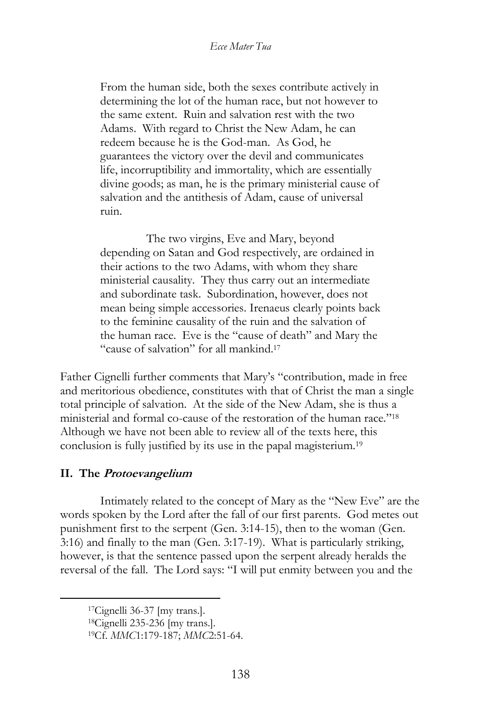From the human side, both the sexes contribute actively in determining the lot of the human race, but not however to the same extent. Ruin and salvation rest with the two Adams. With regard to Christ the New Adam, he can redeem because he is the God-man. As God, he guarantees the victory over the devil and communicates life, incorruptibility and immortality, which are essentially divine goods; as man, he is the primary ministerial cause of salvation and the antithesis of Adam, cause of universal ruin.

 The two virgins, Eve and Mary, beyond depending on Satan and God respectively, are ordained in their actions to the two Adams, with whom they share ministerial causality. They thus carry out an intermediate and subordinate task. Subordination, however, does not mean being simple accessories. Irenaeus clearly points back to the feminine causality of the ruin and the salvation of the human race. Eve is the "cause of death" and Mary the "cause of salvation" for all mankind.<sup>17</sup>

Father Cignelli further comments that Mary's "contribution, made in free and meritorious obedience, constitutes with that of Christ the man a single total principle of salvation. At the side of the New Adam, she is thus a ministerial and formal co-cause of the restoration of the human race."<sup>18</sup> Although we have not been able to review all of the texts here, this conclusion is fully justified by its use in the papal magisterium.<sup>19</sup>

### **II. The Protoevangelium**

Intimately related to the concept of Mary as the "New Eve" are the words spoken by the Lord after the fall of our first parents. God metes out punishment first to the serpent (Gen. 3:14-15), then to the woman (Gen. 3:16) and finally to the man (Gen. 3:17-19). What is particularly striking, however, is that the sentence passed upon the serpent already heralds the reversal of the fall. The Lord says: "I will put enmity between you and the

<sup>17</sup>Cignelli 36-37 [my trans.].

<sup>18</sup>Cignelli 235-236 [my trans.].

<sup>19</sup>Cf. *MMC*1:179-187; *MMC*2:51-64.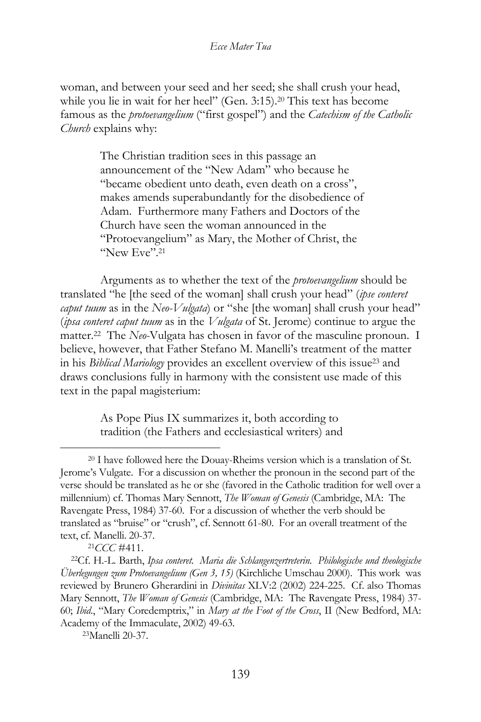woman, and between your seed and her seed; she shall crush your head, while you lie in wait for her heel" (Gen. 3:15).<sup>20</sup> This text has become famous as the *protoevangelium* ("first gospel") and the *Catechism of the Catholic Church* explains why:

> The Christian tradition sees in this passage an announcement of the "New Adam" who because he "became obedient unto death, even death on a cross", makes amends superabundantly for the disobedience of Adam. Furthermore many Fathers and Doctors of the Church have seen the woman announced in the "Protoevangelium" as Mary, the Mother of Christ, the "New Eve".<sup>21</sup>

Arguments as to whether the text of the *protoevangelium* should be translated "he [the seed of the woman] shall crush your head" (*ipse conteret caput tuum* as in the *Neo-Vulgata*) or "she [the woman] shall crush your head" (*ipsa conteret caput tuum* as in the *Vulgata* of St. Jerome) continue to argue the matter.<sup>22</sup> The *Neo-*Vulgata has chosen in favor of the masculine pronoun. I believe, however, that Father Stefano M. Manelli's treatment of the matter in his *Biblical Mariology* provides an excellent overview of this issue<sup>23</sup> and draws conclusions fully in harmony with the consistent use made of this text in the papal magisterium:

> As Pope Pius IX summarizes it, both according to tradition (the Fathers and ecclesiastical writers) and

<sup>21</sup>*CCC* #411.

<sup>20</sup> I have followed here the Douay-Rheims version which is a translation of St. Jerome's Vulgate. For a discussion on whether the pronoun in the second part of the verse should be translated as he or she (favored in the Catholic tradition for well over a millennium) cf. Thomas Mary Sennott, *The Woman of Genesis* (Cambridge, MA: The Ravengate Press, 1984) 37-60. For a discussion of whether the verb should be translated as "bruise" or "crush", cf. Sennott 61-80. For an overall treatment of the text, cf. Manelli. 20-37.

<sup>22</sup>Cf. H.-L. Barth, *Ipsa conteret. Maria die Schlangenzertreterin. Philologische und theologische Überlegungen zum Protoevangelium (Gen 3, 15)* (Kirchliche Umschau 2000). This work was reviewed by Brunero Gherardini in *Divinitas* XLV:2 (2002) 224-225. Cf. also Thomas Mary Sennott, *The Woman of Genesis* (Cambridge, MA: The Ravengate Press, 1984) 37- 60; *Ibid*., "Mary Coredemptrix," in *Mary at the Foot of the Cross*, II (New Bedford, MA: Academy of the Immaculate, 2002) 49-63.

<sup>23</sup>Manelli 20-37.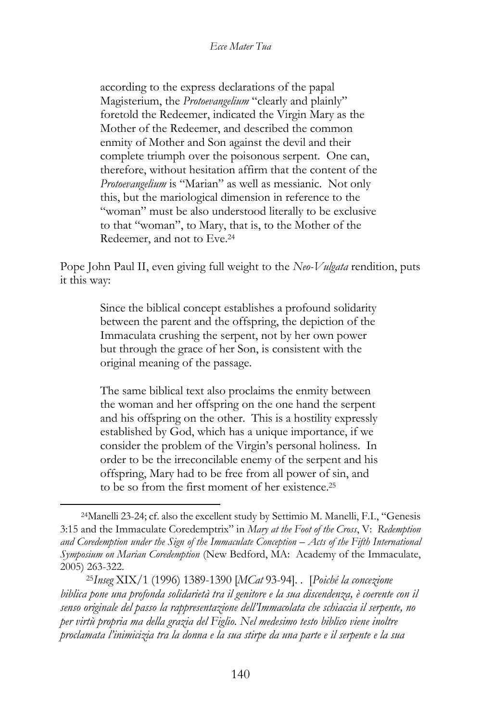according to the express declarations of the papal Magisterium, the *Protoevangelium* "clearly and plainly" foretold the Redeemer, indicated the Virgin Mary as the Mother of the Redeemer, and described the common enmity of Mother and Son against the devil and their complete triumph over the poisonous serpent. One can, therefore, without hesitation affirm that the content of the *Protoevangelium* is "Marian" as well as messianic. Not only this, but the mariological dimension in reference to the "woman" must be also understood literally to be exclusive to that "woman", to Mary, that is, to the Mother of the Redeemer, and not to Eve.<sup>24</sup>

Pope John Paul II, even giving full weight to the *Neo-Vulgata* rendition, puts it this way:

> Since the biblical concept establishes a profound solidarity between the parent and the offspring, the depiction of the Immaculata crushing the serpent, not by her own power but through the grace of her Son, is consistent with the original meaning of the passage.

> The same biblical text also proclaims the enmity between the woman and her offspring on the one hand the serpent and his offspring on the other. This is a hostility expressly established by God, which has a unique importance, if we consider the problem of the Virgin's personal holiness. In order to be the irreconcilable enemy of the serpent and his offspring, Mary had to be free from all power of sin, and to be so from the first moment of her existence. 25

<sup>24</sup>Manelli 23-24; cf. also the excellent study by Settimio M. Manelli, F.I., "Genesis 3:15 and the Immaculate Coredemptrix" in *Mary at the Foot of the Cross*, V: *Redemption and Coredemption under the Sign of the Immaculate Conception – Acts of the Fifth International Symposium on Marian Coredemption* (New Bedford, MA: Academy of the Immaculate, 2005) 263-322.

<sup>25</sup>*Inseg* XIX/1 (1996) 1389-1390 [*MCat* 93-94]. . [*Poiché la concezione biblica pone una profonda solidarietà tra il genitore e la sua discendenza, è coerente con il senso originale del passo la rappresentazione dell'Immacolata che schiaccia il serpente, no per virtù propria ma della grazia del Figlio. Nel medesimo testo biblico viene inoltre proclamata l'inimicizia tra la donna e la sua stirpe da una parte e il serpente e la sua*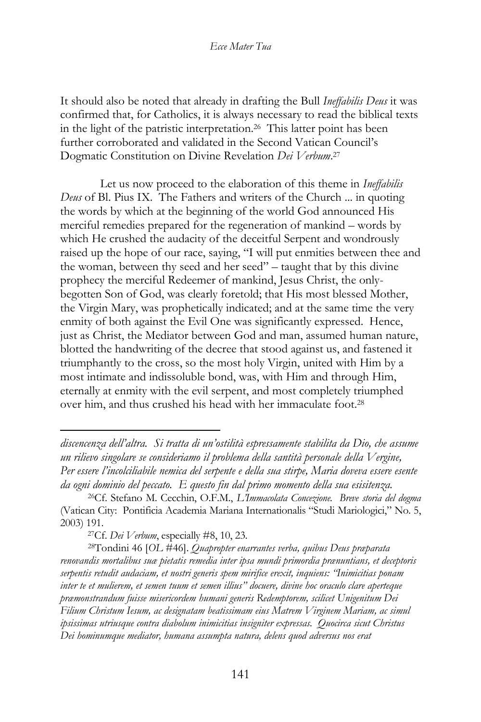It should also be noted that already in drafting the Bull *Ineffabilis Deus* it was confirmed that, for Catholics, it is always necessary to read the biblical texts in the light of the patristic interpretation.<sup>26</sup> This latter point has been further corroborated and validated in the Second Vatican Council's Dogmatic Constitution on Divine Revelation *Dei Verbum*. 27

Let us now proceed to the elaboration of this theme in *Ineffabilis Deus* of Bl. Pius IX. The Fathers and writers of the Church ... in quoting the words by which at the beginning of the world God announced His merciful remedies prepared for the regeneration of mankind – words by which He crushed the audacity of the deceitful Serpent and wondrously raised up the hope of our race, saying, "I will put enmities between thee and the woman, between thy seed and her seed" – taught that by this divine prophecy the merciful Redeemer of mankind, Jesus Christ, the onlybegotten Son of God, was clearly foretold; that His most blessed Mother, the Virgin Mary, was prophetically indicated; and at the same time the very enmity of both against the Evil One was significantly expressed. Hence, just as Christ, the Mediator between God and man, assumed human nature, blotted the handwriting of the decree that stood against us, and fastened it triumphantly to the cross, so the most holy Virgin, united with Him by a most intimate and indissoluble bond, was, with Him and through Him, eternally at enmity with the evil serpent, and most completely triumphed over him, and thus crushed his head with her immaculate foot.<sup>28</sup>

*discencenza dell'altra. Si tratta di un'ostilità espressamente stabilita da Dio, che assume un rilievo singolare se consideriamo il problema della santità personale della Vergine, Per essere l'incolciliabile nemica del serpente e della sua stirpe, Maria doveva essere esente da ogni dominio del peccato. E questo fin dal primo momento della sua esisitenza.*

<sup>26</sup>Cf. Stefano M. Cecchin, O.F.M., *L'Immacolata Concezione. Breve storia del dogma* (Vatican City: Pontificia Academia Mariana Internationalis "Studi Mariologici," No. 5, 2003) 191.

<sup>27</sup>Cf. *Dei Verbum*, especially #8, 10, 23.

<sup>28</sup>Tondini 46 [*OL* #46]. *Quapropter enarrantes verba, quibus Deus præparata renovandis mortalibus suæ pietatis remedia inter ipsa mundi primordia prænuntians, et deceptoris serpentis retudit audaciam, et nostri generis spem mirifice erexit, inquiens: "Inimicitias ponam inter te et mulierem, et semen tuum et semen illius" docuere, divine hoc oraculo clare aperteque præmonstrandum fuisse misericordem humani generis Redemptorem, scilicet Unigenitum Dei Filium Christum Iesum, ac designatam beatissimam eius Matrem Virginem Mariam, ac simul ipsissimas utriusque contra diabolum inimicitias insigniter expressas. Quocirca sicut Christus Dei hominumque mediator, humana assumpta natura, delens quod adversus nos erat*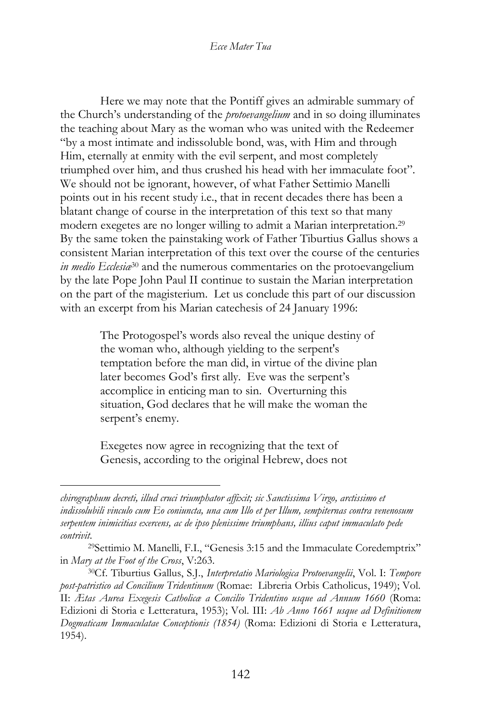Here we may note that the Pontiff gives an admirable summary of the Church's understanding of the *protoevangelium* and in so doing illuminates the teaching about Mary as the woman who was united with the Redeemer "by a most intimate and indissoluble bond, was, with Him and through Him, eternally at enmity with the evil serpent, and most completely triumphed over him, and thus crushed his head with her immaculate foot". We should not be ignorant, however, of what Father Settimio Manelli points out in his recent study i.e., that in recent decades there has been a blatant change of course in the interpretation of this text so that many modern exegetes are no longer willing to admit a Marian interpretation.<sup>29</sup> By the same token the painstaking work of Father Tiburtius Gallus shows a consistent Marian interpretation of this text over the course of the centuries *in medio Ecclesiæ*<sup>30</sup> and the numerous commentaries on the protoevangelium by the late Pope John Paul II continue to sustain the Marian interpretation on the part of the magisterium. Let us conclude this part of our discussion with an excerpt from his Marian catechesis of 24 January 1996:

> The Protogospel's words also reveal the unique destiny of the woman who, although yielding to the serpent's temptation before the man did, in virtue of the divine plan later becomes God's first ally. Eve was the serpent's accomplice in enticing man to sin. Overturning this situation, God declares that he will make the woman the serpent's enemy.

Exegetes now agree in recognizing that the text of Genesis, according to the original Hebrew, does not

*chirographum decreti, illud cruci triumphator affixit; sic Sanctissima Virgo, arctissimo et indissolubili vinculo cum Eo coniuncta, una cum Illo et per Illum, sempiternas contra venenosum serpentem inimicitias exercens, ac de ipso plenissime triumphans, illius caput immaculato pede contrivit*.

<sup>29</sup>Settimio M. Manelli, F.I., "Genesis 3:15 and the Immaculate Coredemptrix" in *Mary at the Foot of the Cross*, V:263.

<sup>30</sup>Cf. Tiburtius Gallus, S.J., *Interpretatio Mariologica Protoevangelii*, Vol. I: *Tempore post-patristico ad Concilium Tridentinum* (Romae: Libreria Orbis Catholicus, 1949); Vol. II: *Ætas Aurea Exegesis Catholicæ a Concilio Tridentino usque ad Annum 1660* (Roma: Edizioni di Storia e Letteratura, 1953); Vol. III: *Ab Anno 1661 usque ad Definitionem Dogmaticam Immaculatae Conceptionis (1854)* (Roma: Edizioni di Storia e Letteratura, 1954).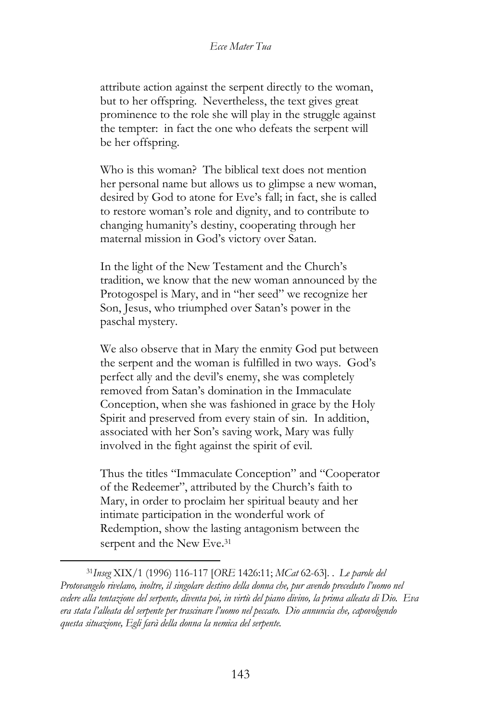attribute action against the serpent directly to the woman, but to her offspring. Nevertheless, the text gives great prominence to the role she will play in the struggle against the tempter: in fact the one who defeats the serpent will be her offspring.

Who is this woman? The biblical text does not mention her personal name but allows us to glimpse a new woman, desired by God to atone for Eve's fall; in fact, she is called to restore woman's role and dignity, and to contribute to changing humanity's destiny, cooperating through her maternal mission in God's victory over Satan.

In the light of the New Testament and the Church's tradition, we know that the new woman announced by the Protogospel is Mary, and in "her seed" we recognize her Son, Jesus, who triumphed over Satan's power in the paschal mystery.

We also observe that in Mary the enmity God put between the serpent and the woman is fulfilled in two ways. God's perfect ally and the devil's enemy, she was completely removed from Satan's domination in the Immaculate Conception, when she was fashioned in grace by the Holy Spirit and preserved from every stain of sin. In addition, associated with her Son's saving work, Mary was fully involved in the fight against the spirit of evil.

Thus the titles "Immaculate Conception" and "Cooperator of the Redeemer", attributed by the Church's faith to Mary, in order to proclaim her spiritual beauty and her intimate participation in the wonderful work of Redemption, show the lasting antagonism between the serpent and the New Eve.<sup>31</sup>

<sup>31</sup>*Inseg* XIX/1 (1996) 116-117 [*ORE* 1426:11; *MCat* 62-63]. . *Le parole del Protovangelo rivelano, inoltre, il singolare destino della donna che, pur avendo preceduto l'uomo nel cedere alla tentazione del serpente, diventa poi, in virtù del piano divino, la prima alleata di Dio. Eva era stata l'alleata del serpente per trascinare l'uomo nel peccato. Dio annuncia che, capovolgendo questa situazione, Egli farà della donna la nemica del serpente.*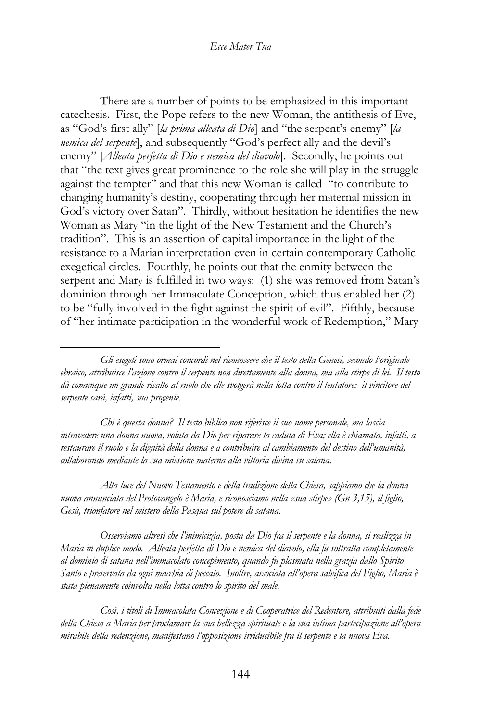There are a number of points to be emphasized in this important catechesis. First, the Pope refers to the new Woman, the antithesis of Eve, as "God's first ally" [*la prima alleata di Dio*] and "the serpent's enemy" [*la nemica del serpente*], and subsequently "God's perfect ally and the devil's enemy" [*Alleata perfetta di Dio e nemica del diavolo*]. Secondly, he points out that "the text gives great prominence to the role she will play in the struggle against the tempter" and that this new Woman is called "to contribute to changing humanity's destiny, cooperating through her maternal mission in God's victory over Satan". Thirdly, without hesitation he identifies the new Woman as Mary "in the light of the New Testament and the Church's tradition". This is an assertion of capital importance in the light of the resistance to a Marian interpretation even in certain contemporary Catholic exegetical circles. Fourthly, he points out that the enmity between the serpent and Mary is fulfilled in two ways: (1) she was removed from Satan's dominion through her Immaculate Conception, which thus enabled her (2) to be "fully involved in the fight against the spirit of evil". Fifthly, because of "her intimate participation in the wonderful work of Redemption," Mary

*Chi è questa donna? Il testo biblico non riferisce il suo nome personale, ma lascia intravedere una donna nuova, voluta da Dio per riparare la caduta di Eva; ella è chiamata, infatti, a restaurare il ruolo e la dignità della donna e a contribuire al cambiamento del destino dell'umanità, collaborando mediante la sua missione materna alla vittoria divina su satana.*

*Alla luce del Nuovo Testamento e della tradizione della Chiesa, sappiamo che la donna nuova annunciata del Protovangelo è Maria, e riconosciamo nella «sua stirpe» (Gn 3,15), il figlio, Gesù, trionfatore nel mistero della Pasqua sul potere di satana.*

*Osserviamo altresì che l'inimicizia, posta da Dio fra il serpente e la donna, si realizza in Maria in duplice modo. Alleata perfetta di Dio e nemica del diavolo, ella fu sottratta completamente al dominio di satana nell'immacolato concepimento, quando fu plasmata nella grazia dallo Spirito Santo e preservata da ogni macchia di peccato. Inoltre, associata all'opera salvifica del Figlio, Maria è stata pienamente coinvolta nella lotta contro lo spirito del male.*

*Così, i titoli di Immacolata Concezione e di Cooperatrice del Redentore, attribuiti dalla fede della Chiesa a Maria per proclamare la sua bellezza spirituale e la sua intima partecipazione all'opera mirabile della redenzione, manifestano l'opposizione irriducibile fra il serpente e la nuova Eva.*

*Gli esegeti sono ormai concordi nel riconoscere che il testo della Genesi, secondo l'originale ebraico, attribuisce l'azione contro il serpente non direttamente alla donna, ma alla stirpe di lei. Il testo dà comunque un grande risalto al ruolo che elle svolgerà nella lotta contro il tentatore: il vincitore del serpente sarà, infatti, sua progenie.*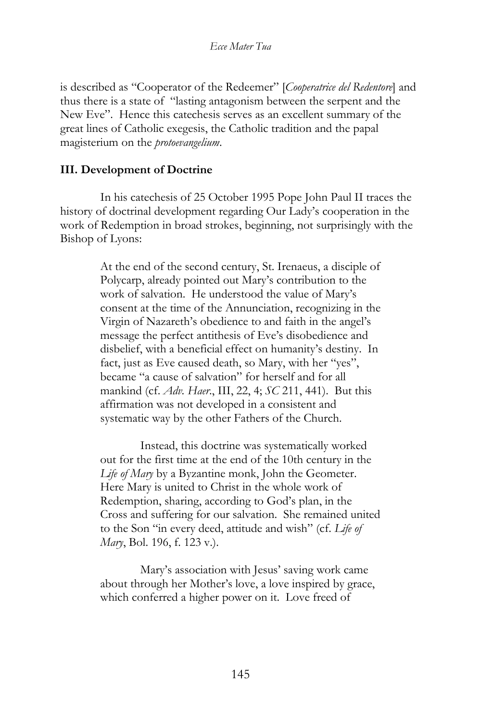is described as "Cooperator of the Redeemer" [*Cooperatrice del Redentore*] and thus there is a state of "lasting antagonism between the serpent and the New Eve". Hence this catechesis serves as an excellent summary of the great lines of Catholic exegesis, the Catholic tradition and the papal magisterium on the *protoevangelium*.

## **III. Development of Doctrine**

In his catechesis of 25 October 1995 Pope John Paul II traces the history of doctrinal development regarding Our Lady's cooperation in the work of Redemption in broad strokes, beginning, not surprisingly with the Bishop of Lyons:

> At the end of the second century, St. Irenaeus, a disciple of Polycarp, already pointed out Mary's contribution to the work of salvation. He understood the value of Mary's consent at the time of the Annunciation, recognizing in the Virgin of Nazareth's obedience to and faith in the angel's message the perfect antithesis of Eve's disobedience and disbelief, with a beneficial effect on humanity's destiny. In fact, just as Eve caused death, so Mary, with her "yes", became "a cause of salvation" for herself and for all mankind (cf. *Adv. Haer*., III, 22, 4; *SC* 211, 441). But this affirmation was not developed in a consistent and systematic way by the other Fathers of the Church.

> Instead, this doctrine was systematically worked out for the first time at the end of the 10th century in the *Life of Mary* by a Byzantine monk, John the Geometer. Here Mary is united to Christ in the whole work of Redemption, sharing, according to God's plan, in the Cross and suffering for our salvation. She remained united to the Son "in every deed, attitude and wish" (cf. *Life of Mary*, Bol. 196, f. 123 v.).

Mary's association with Jesus' saving work came about through her Mother's love, a love inspired by grace, which conferred a higher power on it. Love freed of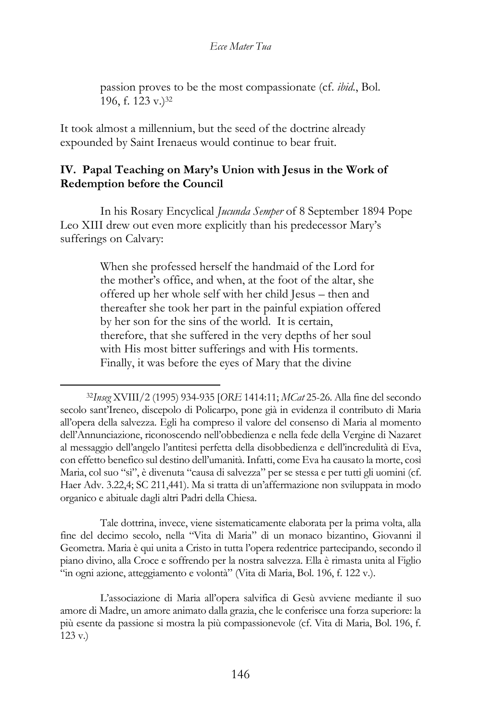passion proves to be the most compassionate (cf. *ibid*., Bol. 196, f. 123 v.)<sup>32</sup>

It took almost a millennium, but the seed of the doctrine already expounded by Saint Irenaeus would continue to bear fruit.

### **IV. Papal Teaching on Mary's Union with Jesus in the Work of Redemption before the Council**

In his Rosary Encyclical *Jucunda Semper* of 8 September 1894 Pope Leo XIII drew out even more explicitly than his predecessor Mary's sufferings on Calvary:

> When she professed herself the handmaid of the Lord for the mother's office, and when, at the foot of the altar, she offered up her whole self with her child Jesus – then and thereafter she took her part in the painful expiation offered by her son for the sins of the world. It is certain, therefore, that she suffered in the very depths of her soul with His most bitter sufferings and with His torments. Finally, it was before the eyes of Mary that the divine

Tale dottrina, invece, viene sistematicamente elaborata per la prima volta, alla fine del decimo secolo, nella "Vita di Maria" di un monaco bizantino, Giovanni il Geometra. Maria è qui unita a Cristo in tutta l'opera redentrice partecipando, secondo il piano divino, alla Croce e soffrendo per la nostra salvezza. Ella è rimasta unita al Figlio "in ogni azione, atteggiamento e volontà" (Vita di Maria, Bol. 196, f. 122 v.).

L'associazione di Maria all'opera salvifica di Gesù avviene mediante il suo amore di Madre, un amore animato dalla grazia, che le conferisce una forza superiore: la più esente da passione si mostra la più compassionevole (cf. Vita di Maria, Bol. 196, f. 123 v.)

<sup>32</sup>*Inseg* XVIII/2 (1995) 934-935 [*ORE* 1414:11; *MCat* 25-26. Alla fine del secondo secolo sant'Ireneo, discepolo di Policarpo, pone già in evidenza il contributo di Maria all'opera della salvezza. Egli ha compreso il valore del consenso di Maria al momento dell'Annunciazione, riconoscendo nell'obbedienza e nella fede della Vergine di Nazaret al messaggio dell'angelo l'antitesi perfetta della disobbedienza e dell'incredulità di Eva, con effetto benefico sul destino dell'umanità. Infatti, come Eva ha causato la morte, così Maria, col suo "sì", è divenuta "causa di salvezza" per se stessa e per tutti gli uomini (cf. Haer Adv. 3.22,4; SC 211,441). Ma si tratta di un'affermazione non sviluppata in modo organico e abituale dagli altri Padri della Chiesa.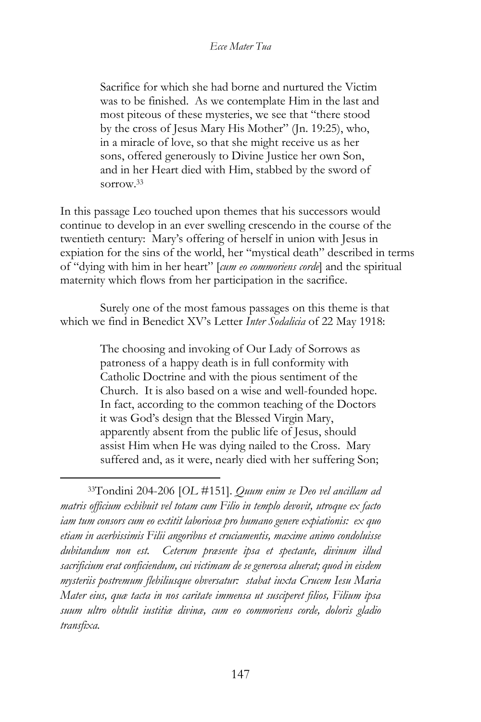Sacrifice for which she had borne and nurtured the Victim was to be finished. As we contemplate Him in the last and most piteous of these mysteries, we see that "there stood by the cross of Jesus Mary His Mother" (Jn. 19:25), who, in a miracle of love, so that she might receive us as her sons, offered generously to Divine Justice her own Son, and in her Heart died with Him, stabbed by the sword of sorrow.<sup>33</sup>

In this passage Leo touched upon themes that his successors would continue to develop in an ever swelling crescendo in the course of the twentieth century: Mary's offering of herself in union with Jesus in expiation for the sins of the world, her "mystical death" described in terms of "dying with him in her heart" [*cum eo commoriens corde*] and the spiritual maternity which flows from her participation in the sacrifice.

Surely one of the most famous passages on this theme is that which we find in Benedict XV's Letter *Inter Sodalicia* of 22 May 1918:

> The choosing and invoking of Our Lady of Sorrows as patroness of a happy death is in full conformity with Catholic Doctrine and with the pious sentiment of the Church. It is also based on a wise and well-founded hope. In fact, according to the common teaching of the Doctors it was God's design that the Blessed Virgin Mary, apparently absent from the public life of Jesus, should assist Him when He was dying nailed to the Cross. Mary suffered and, as it were, nearly died with her suffering Son;

<sup>33</sup>Tondini 204-206 [*OL* #151]. *Quum enim se Deo vel ancillam ad matris officium exhibuit vel totam cum Filio in templo devovit, utroque ex facto iam tum consors cum eo extitit laboriosæ pro humano genere expiationis: ex quo etiam in acerbissimis Filii angoribus et cruciamentis, maxime animo condoluisse dubitandum non est. Ceterum præsente ipsa et spectante, divinum illud sacrificium erat conficiendum, cui victimam de se generosa aluerat; quod in eisdem mysteriis postremum flebiliusque obversatur: stabat iuxta Crucem Iesu Maria Mater eius, quæ tacta in nos caritate immensa ut susciperet filios, Filium ipsa suum ultro obtulit iustitiæ divinæ, cum eo commoriens corde, doloris gladio transfixa.*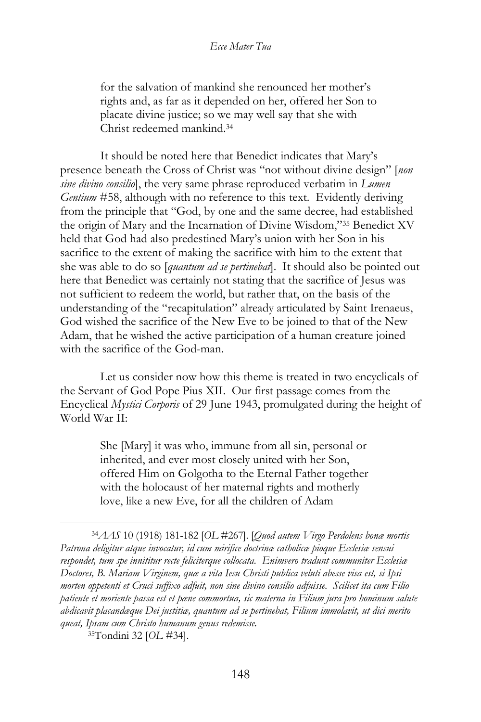for the salvation of mankind she renounced her mother's rights and, as far as it depended on her, offered her Son to placate divine justice; so we may well say that she with Christ redeemed mankind.<sup>34</sup>

It should be noted here that Benedict indicates that Mary's presence beneath the Cross of Christ was "not without divine design" [*non sine divino consilio*], the very same phrase reproduced verbatim in *Lumen Gentium* #58, although with no reference to this text. Evidently deriving from the principle that "God, by one and the same decree, had established the origin of Mary and the Incarnation of Divine Wisdom,"<sup>35</sup> Benedict XV held that God had also predestined Mary's union with her Son in his sacrifice to the extent of making the sacrifice with him to the extent that she was able to do so [*quantum ad se pertinebat*]. It should also be pointed out here that Benedict was certainly not stating that the sacrifice of Jesus was not sufficient to redeem the world, but rather that, on the basis of the understanding of the "recapitulation" already articulated by Saint Irenaeus, God wished the sacrifice of the New Eve to be joined to that of the New Adam, that he wished the active participation of a human creature joined with the sacrifice of the God-man.

Let us consider now how this theme is treated in two encyclicals of the Servant of God Pope Pius XII. Our first passage comes from the Encyclical *Mystici Corporis* of 29 June 1943, promulgated during the height of World War II:

> She [Mary] it was who, immune from all sin, personal or inherited, and ever most closely united with her Son, offered Him on Golgotha to the Eternal Father together with the holocaust of her maternal rights and motherly love, like a new Eve, for all the children of Adam

<sup>34</sup>*AAS* 10 (1918) 181-182 [*OL* #267]. [*Quod autem Virgo Perdolens bonæ mortis Patrona deligitur atque invocatur, id cum mirifice doctrinæ catholicæ pioque Ecclesiæ sensui respondet, tum spe innititur recte feliciterque collocata. Enimvero tradunt communiter Ecclesiæ Doctores, B. Mariam Virginem, quæ a vita Iesu Christi publica veluti abesse visa est, si Ipsi morten oppetenti et Cruci suffixo adfuit, non sine divino consilio adfuisse. Scilicet ita cum Filio patiente et moriente passa est et pæne commortua, sic materna in Filium jura pro hominum salute abdicavit placandæque Dei justitiæ, quantum ad se pertinebat, Filium immolavit, ut dici merito queat, Ipsam cum Christo humanum genus redemisse.*

<sup>35</sup>Tondini 32 [*OL* #34].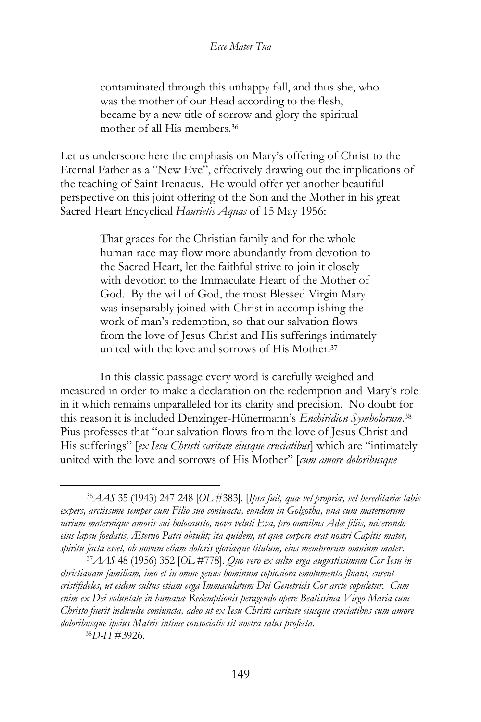contaminated through this unhappy fall, and thus she, who was the mother of our Head according to the flesh, became by a new title of sorrow and glory the spiritual mother of all His members.<sup>36</sup>

Let us underscore here the emphasis on Mary's offering of Christ to the Eternal Father as a "New Eve", effectively drawing out the implications of the teaching of Saint Irenaeus. He would offer yet another beautiful perspective on this joint offering of the Son and the Mother in his great Sacred Heart Encyclical *Haurietis Aquas* of 15 May 1956:

> That graces for the Christian family and for the whole human race may flow more abundantly from devotion to the Sacred Heart, let the faithful strive to join it closely with devotion to the Immaculate Heart of the Mother of God. By the will of God, the most Blessed Virgin Mary was inseparably joined with Christ in accomplishing the work of man's redemption, so that our salvation flows from the love of Jesus Christ and His sufferings intimately united with the love and sorrows of His Mother.<sup>37</sup>

In this classic passage every word is carefully weighed and measured in order to make a declaration on the redemption and Mary's role in it which remains unparalleled for its clarity and precision. No doubt for this reason it is included Denzinger-Hünermann's *Enchiridion Symbolorum*. 38 Pius professes that "our salvation flows from the love of Jesus Christ and His sufferings" [*ex Iesu Christi caritate eiusque cruciatibus*] which are "intimately united with the love and sorrows of His Mother" [*cum amore doloribusque* 

<sup>38</sup>*D-H* #3926.

<sup>36</sup>*AAS* 35 (1943) 247-248 [*OL* #383]. [*Ipsa fuit, quæ vel propriæ, vel hereditariæ labis expers, arctissime semper cum Filio suo coniuncta, eundem in Golgotha, una cum maternorum iurium maternique amoris sui holocausto, nova veluti Eva, pro omnibus Adæ filiis, miserando eius lapsu foedatis, Æterno Patri obtulit; ita quidem, ut quæ corpore erat nostri Capitis mater, spiritu facta esset, ob novum etiam doloris gloriæque titulum, eius membrorum omnium mater*.

<sup>37</sup>*AAS* 48 (1956) 352 [*OL* #778]. *Quo vero ex cultu erga augustissimum Cor Iesu in christianam familiam, imo et in omne genus hominum copiosiora emolumenta fluant, curent cristifideles, ut eidem cultus etiam erga Immaculatum Dei Genetricis Cor arcte copuletur. Cum enim ex Dei voluntate in humanæ Redemptionis peragendo opere Beatissima Virgo Maria cum Christo fuerit indivulse coniuncta, adeo ut ex Iesu Christi caritate eiusque cruciatibus cum amore doloribusque ipsius Matris intime consociatis sit nostra salus profecta.*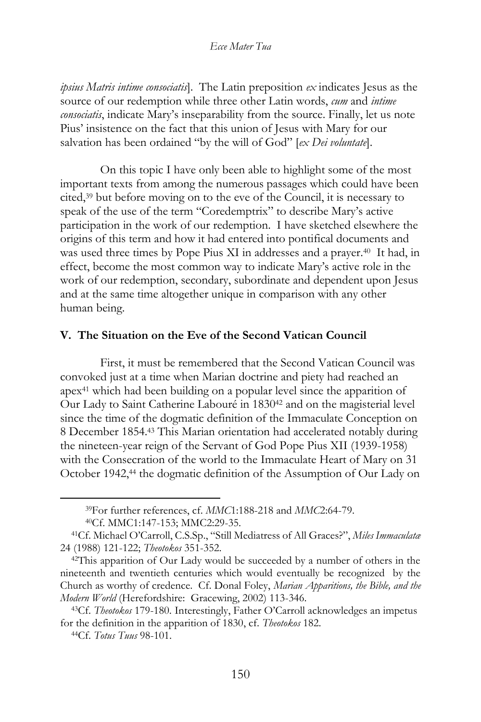*ipsius Matris intime consociatis*]. The Latin preposition *ex* indicates Jesus as the source of our redemption while three other Latin words, *cum* and *intime consociatis*, indicate Mary's inseparability from the source. Finally, let us note Pius' insistence on the fact that this union of Jesus with Mary for our salvation has been ordained "by the will of God" [*ex Dei voluntate*].

On this topic I have only been able to highlight some of the most important texts from among the numerous passages which could have been cited,<sup>39</sup> but before moving on to the eve of the Council, it is necessary to speak of the use of the term "Coredemptrix" to describe Mary's active participation in the work of our redemption. I have sketched elsewhere the origins of this term and how it had entered into pontifical documents and was used three times by Pope Pius XI in addresses and a prayer.<sup>40</sup> It had, in effect, become the most common way to indicate Mary's active role in the work of our redemption, secondary, subordinate and dependent upon Jesus and at the same time altogether unique in comparison with any other human being.

### **V. The Situation on the Eve of the Second Vatican Council**

First, it must be remembered that the Second Vatican Council was convoked just at a time when Marian doctrine and piety had reached an  $apex<sup>41</sup>$  which had been building on a popular level since the apparition of Our Lady to Saint Catherine Labouré in 1830<sup>42</sup> and on the magisterial level since the time of the dogmatic definition of the Immaculate Conception on 8 December 1854.<sup>43</sup> This Marian orientation had accelerated notably during the nineteen-year reign of the Servant of God Pope Pius XII (1939-1958) with the Consecration of the world to the Immaculate Heart of Mary on 31 October 1942,<sup>44</sup> the dogmatic definition of the Assumption of Our Lady on

<sup>39</sup>For further references, cf. *MMC*1:188-218 and *MMC*2:64-79.

<sup>40</sup>Cf. MMC1:147-153; MMC2:29-35.

<sup>41</sup>Cf. Michael O'Carroll, C.S.Sp., "Still Mediatress of All Graces?", *Miles Immaculatæ* 24 (1988) 121-122; *Theotokos* 351-352.

<sup>42</sup>This apparition of Our Lady would be succeeded by a number of others in the nineteenth and twentieth centuries which would eventually be recognized by the Church as worthy of credence. Cf. Donal Foley, *Marian Apparitions, the Bible, and the Modern World* (Herefordshire: Gracewing, 2002) 113-346.

<sup>43</sup>Cf. *Theotokos* 179-180. Interestingly, Father O'Carroll acknowledges an impetus for the definition in the apparition of 1830, cf. *Theotokos* 182.

<sup>44</sup>Cf. *Totus Tuus* 98-101.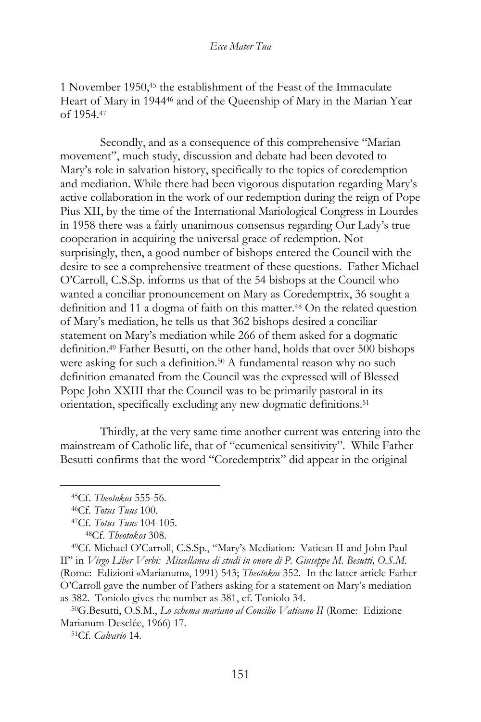1 November 1950,<sup>45</sup> the establishment of the Feast of the Immaculate Heart of Mary in 1944<sup>46</sup> and of the Queenship of Mary in the Marian Year of 1954.<sup>47</sup>

Secondly, and as a consequence of this comprehensive "Marian movement", much study, discussion and debate had been devoted to Mary's role in salvation history, specifically to the topics of coredemption and mediation. While there had been vigorous disputation regarding Mary's active collaboration in the work of our redemption during the reign of Pope Pius XII, by the time of the International Mariological Congress in Lourdes in 1958 there was a fairly unanimous consensus regarding Our Lady's true cooperation in acquiring the universal grace of redemption. Not surprisingly, then, a good number of bishops entered the Council with the desire to see a comprehensive treatment of these questions. Father Michael O'Carroll, C.S.Sp. informs us that of the 54 bishops at the Council who wanted a conciliar pronouncement on Mary as Coredemptrix, 36 sought a definition and 11 a dogma of faith on this matter.<sup>48</sup> On the related question of Mary's mediation, he tells us that 362 bishops desired a conciliar statement on Mary's mediation while 266 of them asked for a dogmatic definition.<sup>49</sup> Father Besutti, on the other hand, holds that over 500 bishops were asking for such a definition.<sup>50</sup> A fundamental reason why no such definition emanated from the Council was the expressed will of Blessed Pope John XXIII that the Council was to be primarily pastoral in its orientation, specifically excluding any new dogmatic definitions.<sup>51</sup>

Thirdly, at the very same time another current was entering into the mainstream of Catholic life, that of "ecumenical sensitivity". While Father Besutti confirms that the word "Coredemptrix" did appear in the original

<sup>45</sup>Cf. *Theotokos* 555-56.

<sup>46</sup>Cf. *Totus Tuus* 100.

<sup>47</sup>Cf. *Totus Tuus* 104-105.

<sup>48</sup>Cf. *Theotokos* 308.

<sup>49</sup>Cf. Michael O'Carroll, C.S.Sp., "Mary's Mediation: Vatican II and John Paul II" in *Virgo Liber Verbi: Miscellanea di studi in onore di P. Giuseppe M. Besutti, O.S.M.* (Rome: Edizioni «Marianum», 1991) 543; *Theotokos* 352. In the latter article Father O'Carroll gave the number of Fathers asking for a statement on Mary's mediation as 382. Toniolo gives the number as 381, cf. Toniolo 34.

<sup>50</sup>G.Besutti, O.S.M., *Lo schema mariano al Concilio Vaticano II* (Rome: Edizione Marianum-Desclée, 1966) 17.

<sup>51</sup>Cf. *Calvario* 14.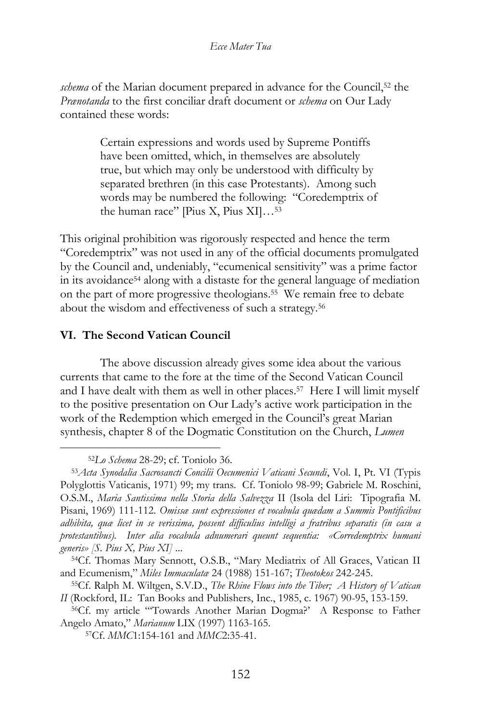*schema* of the Marian document prepared in advance for the Council,<sup>52</sup> the *Prænotanda* to the first conciliar draft document or *schema* on Our Lady contained these words:

> Certain expressions and words used by Supreme Pontiffs have been omitted, which, in themselves are absolutely true, but which may only be understood with difficulty by separated brethren (in this case Protestants). Among such words may be numbered the following: "Coredemptrix of the human race" [Pius X, Pius XI]…<sup>53</sup>

This original prohibition was rigorously respected and hence the term "Coredemptrix" was not used in any of the official documents promulgated by the Council and, undeniably, "ecumenical sensitivity" was a prime factor in its avoidance<sup>54</sup> along with a distaste for the general language of mediation on the part of more progressive theologians.<sup>55</sup> We remain free to debate about the wisdom and effectiveness of such a strategy.<sup>56</sup>

### **VI. The Second Vatican Council**

The above discussion already gives some idea about the various currents that came to the fore at the time of the Second Vatican Council and I have dealt with them as well in other places.<sup>57</sup> Here I will limit myself to the positive presentation on Our Lady's active work participation in the work of the Redemption which emerged in the Council's great Marian synthesis, chapter 8 of the Dogmatic Constitution on the Church, *Lumen* 

<sup>52</sup>*Lo Schema* 28-29; cf. Toniolo 36.

<sup>53</sup>*Acta Synodalia Sacrosancti Concilii Oecumenici Vaticani Secundi*, Vol. I, Pt. VI (Typis Polyglottis Vaticanis, 1971) 99; my trans. Cf. Toniolo 98-99; Gabriele M. Roschini, O.S.M., *Maria Santissima nella Storia della Salvezza* II (Isola del Liri: Tipografia M. Pisani, 1969) 111-112. *Omissæ sunt expressiones et vocabula quædam a Summis Pontificibus adhibita, quæ licet in se verissima, possent difficulius intelligi a fratribus separatis (in casu a protestantibus). Inter alia vocabula adnumerari queunt sequentia: «Corredemptrix humani generis» [S. Pius X, Pius XI]* ...

<sup>54</sup>Cf. Thomas Mary Sennott, O.S.B., "Mary Mediatrix of All Graces, Vatican II and Ecumenism," *Miles Immaculatæ* 24 (1988) 151-167; *Theotokos* 242-245.

<sup>55</sup>Cf. Ralph M. Wiltgen, S.V.D., *The Rhine Flows into the Tiber; A History of Vatican II* (Rockford, IL: Tan Books and Publishers, Inc., 1985, c. 1967) 90-95, 153-159.

<sup>56</sup>Cf. my article "'Towards Another Marian Dogma?' A Response to Father Angelo Amato," *Marianum* LIX (1997) 1163-165.

<sup>57</sup>Cf. *MMC*1:154-161 and *MMC*2:35-41.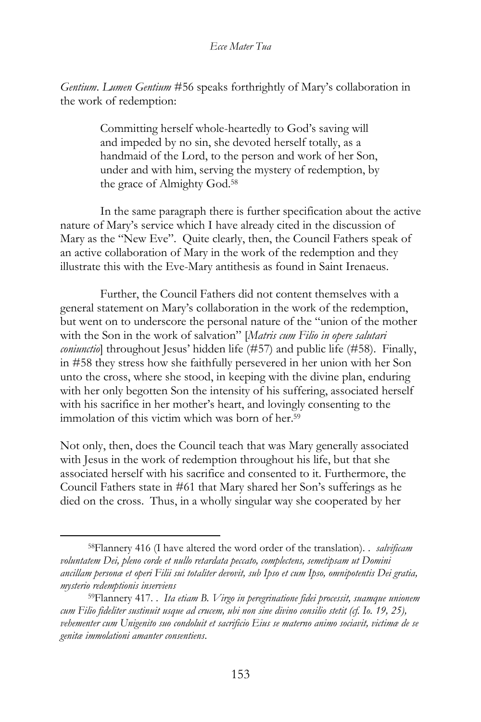*Gentium*. *Lumen Gentium* #56 speaks forthrightly of Mary's collaboration in the work of redemption:

> Committing herself whole-heartedly to God's saving will and impeded by no sin, she devoted herself totally, as a handmaid of the Lord, to the person and work of her Son, under and with him, serving the mystery of redemption, by the grace of Almighty God.<sup>58</sup>

In the same paragraph there is further specification about the active nature of Mary's service which I have already cited in the discussion of Mary as the "New Eve". Quite clearly, then, the Council Fathers speak of an active collaboration of Mary in the work of the redemption and they illustrate this with the Eve-Mary antithesis as found in Saint Irenaeus.

Further, the Council Fathers did not content themselves with a general statement on Mary's collaboration in the work of the redemption, but went on to underscore the personal nature of the "union of the mother with the Son in the work of salvation" [*Matris cum Filio in opere salutari coniunctio*] throughout Jesus' hidden life (#57) and public life (#58). Finally, in #58 they stress how she faithfully persevered in her union with her Son unto the cross, where she stood, in keeping with the divine plan, enduring with her only begotten Son the intensity of his suffering, associated herself with his sacrifice in her mother's heart, and lovingly consenting to the immolation of this victim which was born of her. 59

Not only, then, does the Council teach that was Mary generally associated with Jesus in the work of redemption throughout his life, but that she associated herself with his sacrifice and consented to it. Furthermore, the Council Fathers state in #61 that Mary shared her Son's sufferings as he died on the cross. Thus, in a wholly singular way she cooperated by her

<sup>58</sup>Flannery 416 (I have altered the word order of the translation). . *salvificam voluntatem Dei, pleno corde et nullo retardata peccato, complectens, semetipsam ut Domini ancillam personæ et operi Filii sui totaliter devovit, sub Ipso et cum Ipso, omnipotentis Dei gratia, mysterio redemptionis inserviens*

<sup>59</sup>Flannery 417. . *Ita etiam B. Virgo in peregrinatione fidei processit, suamque unionem cum Filio fideliter sustinuit usque ad crucem, ubi non sine divino consilio stetit (cf. Io. 19, 25), vehementer cum Unigenito suo condoluit et sacrificio Eius se materno animo sociavit, victimæ de se genitæ immolationi amanter consentiens*.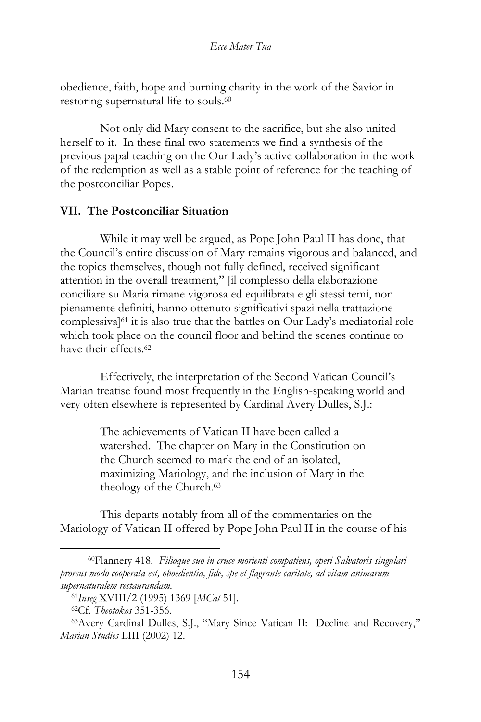obedience, faith, hope and burning charity in the work of the Savior in restoring supernatural life to souls. 60

Not only did Mary consent to the sacrifice, but she also united herself to it. In these final two statements we find a synthesis of the previous papal teaching on the Our Lady's active collaboration in the work of the redemption as well as a stable point of reference for the teaching of the postconciliar Popes.

### **VII. The Postconciliar Situation**

While it may well be argued, as Pope John Paul II has done, that the Council's entire discussion of Mary remains vigorous and balanced, and the topics themselves, though not fully defined, received significant attention in the overall treatment," [il complesso della elaborazione conciliare su Maria rimane vigorosa ed equilibrata e gli stessi temi, non pienamente definiti, hanno ottenuto significativi spazi nella trattazione complessiva]<sup>61</sup> it is also true that the battles on Our Lady's mediatorial role which took place on the council floor and behind the scenes continue to have their effects.<sup>62</sup>

Effectively, the interpretation of the Second Vatican Council's Marian treatise found most frequently in the English-speaking world and very often elsewhere is represented by Cardinal Avery Dulles, S.J.:

> The achievements of Vatican II have been called a watershed. The chapter on Mary in the Constitution on the Church seemed to mark the end of an isolated, maximizing Mariology, and the inclusion of Mary in the theology of the Church.<sup>63</sup>

This departs notably from all of the commentaries on the Mariology of Vatican II offered by Pope John Paul II in the course of his

<sup>60</sup>Flannery 418. *Filioque suo in cruce morienti compatiens, operi Salvatoris singulari prorsus modo cooperata est, oboedientia, fide, spe et flagrante caritate, ad vitam animarum supernaturalem restaurandam.*

<sup>61</sup>*Inseg* XVIII/2 (1995) 1369 [*MCat* 51].

<sup>62</sup>Cf. *Theotokos* 351-356.

<sup>63</sup>Avery Cardinal Dulles, S.J., "Mary Since Vatican II: Decline and Recovery," *Marian Studies* LIII (2002) 12.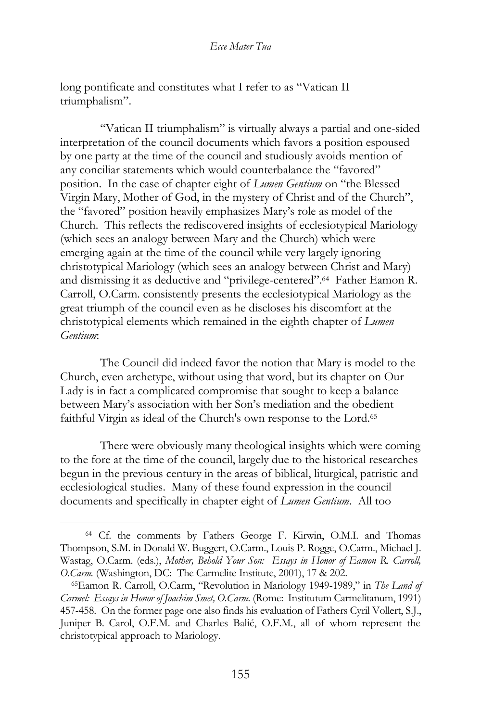long pontificate and constitutes what I refer to as "Vatican II triumphalism".

"Vatican II triumphalism" is virtually always a partial and one-sided interpretation of the council documents which favors a position espoused by one party at the time of the council and studiously avoids mention of any conciliar statements which would counterbalance the "favored" position. In the case of chapter eight of *Lumen Gentium* on "the Blessed Virgin Mary, Mother of God, in the mystery of Christ and of the Church", the "favored" position heavily emphasizes Mary's role as model of the Church. This reflects the rediscovered insights of ecclesiotypical Mariology (which sees an analogy between Mary and the Church) which were emerging again at the time of the council while very largely ignoring christotypical Mariology (which sees an analogy between Christ and Mary) and dismissing it as deductive and "privilege-centered".<sup>64</sup> Father Eamon R. Carroll, O.Carm. consistently presents the ecclesiotypical Mariology as the great triumph of the council even as he discloses his discomfort at the christotypical elements which remained in the eighth chapter of *Lumen Gentium*:

The Council did indeed favor the notion that Mary is model to the Church, even archetype, without using that word, but its chapter on Our Lady is in fact a complicated compromise that sought to keep a balance between Mary's association with her Son's mediation and the obedient faithful Virgin as ideal of the Church's own response to the Lord.<sup>65</sup>

There were obviously many theological insights which were coming to the fore at the time of the council, largely due to the historical researches begun in the previous century in the areas of biblical, liturgical, patristic and ecclesiological studies. Many of these found expression in the council documents and specifically in chapter eight of *Lumen Gentium*. All too

<sup>64</sup> Cf. the comments by Fathers George F. Kirwin, O.M.I. and Thomas Thompson, S.M. in Donald W. Buggert, O.Carm., Louis P. Rogge, O.Carm., Michael J. Wastag, O.Carm. (eds.), *Mother, Behold Your Son: Essays in Honor of Eamon R. Carroll, O.Carm.* (Washington, DC: The Carmelite Institute, 2001), 17 & 202.

<sup>65</sup>Eamon R. Carroll, O.Carm, "Revolution in Mariology 1949-1989," in *The Land of Carmel: Essays in Honor of Joachim Smet, O.Carm.* (Rome: Institutum Carmelitanum, 1991) 457-458. On the former page one also finds his evaluation of Fathers Cyril Vollert, S.J., Juniper B. Carol, O.F.M. and Charles Balić, O.F.M., all of whom represent the christotypical approach to Mariology.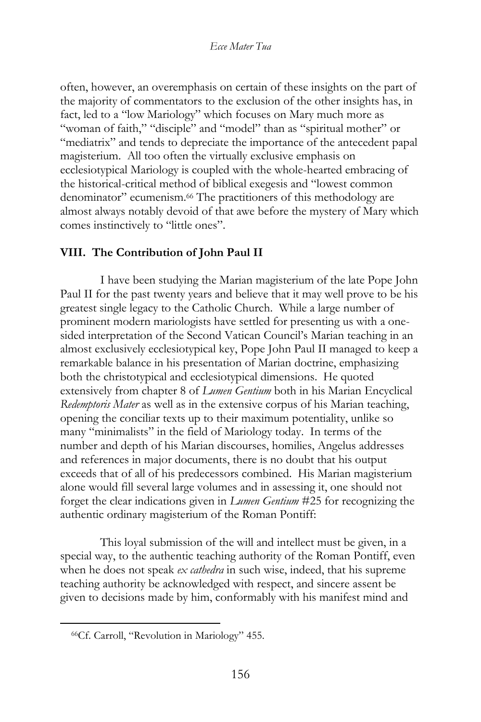often, however, an overemphasis on certain of these insights on the part of the majority of commentators to the exclusion of the other insights has, in fact, led to a "low Mariology" which focuses on Mary much more as "woman of faith," "disciple" and "model" than as "spiritual mother" or "mediatrix" and tends to depreciate the importance of the antecedent papal magisterium. All too often the virtually exclusive emphasis on ecclesiotypical Mariology is coupled with the whole-hearted embracing of the historical-critical method of biblical exegesis and "lowest common denominator" ecumenism.<sup>66</sup> The practitioners of this methodology are almost always notably devoid of that awe before the mystery of Mary which comes instinctively to "little ones".

# **VIII. The Contribution of John Paul II**

I have been studying the Marian magisterium of the late Pope John Paul II for the past twenty years and believe that it may well prove to be his greatest single legacy to the Catholic Church. While a large number of prominent modern mariologists have settled for presenting us with a onesided interpretation of the Second Vatican Council's Marian teaching in an almost exclusively ecclesiotypical key, Pope John Paul II managed to keep a remarkable balance in his presentation of Marian doctrine, emphasizing both the christotypical and ecclesiotypical dimensions. He quoted extensively from chapter 8 of *Lumen Gentium* both in his Marian Encyclical *Redemptoris Mater* as well as in the extensive corpus of his Marian teaching, opening the conciliar texts up to their maximum potentiality, unlike so many "minimalists" in the field of Mariology today. In terms of the number and depth of his Marian discourses, homilies, Angelus addresses and references in major documents, there is no doubt that his output exceeds that of all of his predecessors combined. His Marian magisterium alone would fill several large volumes and in assessing it, one should not forget the clear indications given in *Lumen Gentium* #25 for recognizing the authentic ordinary magisterium of the Roman Pontiff:

This loyal submission of the will and intellect must be given, in a special way, to the authentic teaching authority of the Roman Pontiff, even when he does not speak *ex cathedra* in such wise, indeed, that his supreme teaching authority be acknowledged with respect, and sincere assent be given to decisions made by him, conformably with his manifest mind and

<sup>66</sup>Cf. Carroll, "Revolution in Mariology" 455.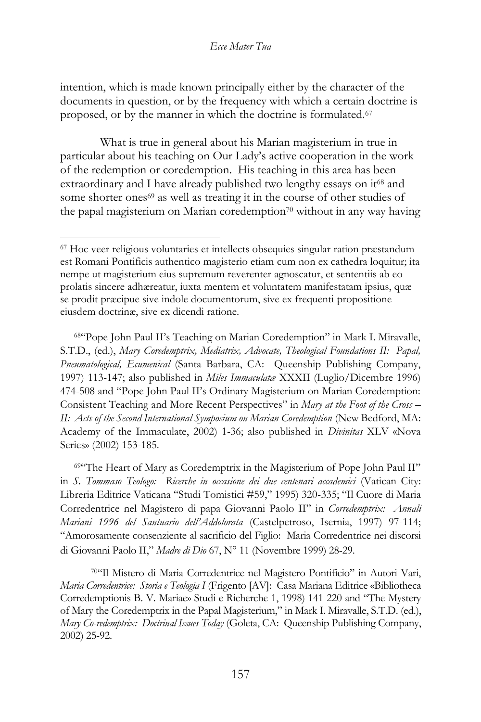intention, which is made known principally either by the character of the documents in question, or by the frequency with which a certain doctrine is proposed, or by the manner in which the doctrine is formulated.<sup>67</sup>

What is true in general about his Marian magisterium in true in particular about his teaching on Our Lady's active cooperation in the work of the redemption or coredemption. His teaching in this area has been extraordinary and I have already published two lengthy essays on it<sup>68</sup> and some shorter ones<sup>69</sup> as well as treating it in the course of other studies of the papal magisterium on Marian coredemption<sup>70</sup> without in any way having

<sup>68</sup>"Pope John Paul II's Teaching on Marian Coredemption" in Mark I. Miravalle, S.T.D., (ed.), *Mary Coredemptrix, Mediatrix, Advocate, Theological Foundations II: Papal, Pneumatological, Ecumenical* (Santa Barbara, CA: Queenship Publishing Company, 1997) 113-147; also published in *Miles Immaculatæ* XXXII (Luglio/Dicembre 1996) 474-508 and "Pope John Paul II's Ordinary Magisterium on Marian Coredemption: Consistent Teaching and More Recent Perspectives" in *Mary at the Foot of the Cross – II: Acts of the Second International Symposium on Marian Coredemption* (New Bedford, MA: Academy of the Immaculate, 2002) 1-36; also published in *Divinitas* XLV «Nova Series» (2002) 153-185.

<sup>69</sup>"The Heart of Mary as Coredemptrix in the Magisterium of Pope John Paul II" in *S. Tommaso Teologo: Ricerche in occasione dei due centenari accademici* (Vatican City: Libreria Editrice Vaticana "Studi Tomistici #59," 1995) 320-335; "Il Cuore di Maria Corredentrice nel Magistero di papa Giovanni Paolo II" in *Corredemptrix: Annali Mariani 1996 del Santuario dell'Addolorata* (Castelpetroso, Isernia, 1997) 97-114; "Amorosamente consenziente al sacrificio del Figlio: Maria Corredentrice nei discorsi di Giovanni Paolo II," *Madre di Dio* 67, Nº 11 (Novembre 1999) 28-29.

<sup>70</sup>"Il Mistero di Maria Corredentrice nel Magistero Pontificio" in Autori Vari, *Maria Corredentrice: Storia e Teologia I* (Frigento [AV]: Casa Mariana Editrice «Bibliotheca Corredemptionis B. V. Mariae» Studi e Richerche 1, 1998) 141-220 and "The Mystery of Mary the Coredemptrix in the Papal Magisterium," in Mark I. Miravalle, S.T.D. (ed.), *Mary Co-redemptrix: Doctrinal Issues Today* (Goleta, CA: Queenship Publishing Company, 2002) 25-92.

<sup>67</sup> Hoc veer religious voluntaries et intellects obsequies singular ration præstandum est Romani Pontificis authentico magisterio etiam cum non ex cathedra loquitur; ita nempe ut magisterium eius supremum reverenter agnoscatur, et sententiis ab eo prolatis sincere adhæreatur, iuxta mentem et voluntatem manifestatam ipsius, quæ se prodit præcipue sive indole documentorum, sive ex frequenti propositione eiusdem doctrinæ, sive ex dicendi ratione.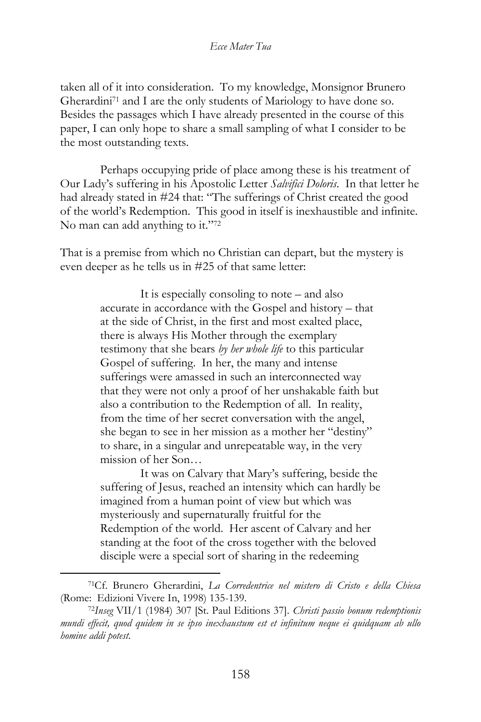taken all of it into consideration. To my knowledge, Monsignor Brunero Gherardini<sup>71</sup> and I are the only students of Mariology to have done so. Besides the passages which I have already presented in the course of this paper, I can only hope to share a small sampling of what I consider to be the most outstanding texts.

Perhaps occupying pride of place among these is his treatment of Our Lady's suffering in his Apostolic Letter *Salvifici Doloris*. In that letter he had already stated in #24 that: "The sufferings of Christ created the good of the world's Redemption. This good in itself is inexhaustible and infinite. No man can add anything to it."72

That is a premise from which no Christian can depart, but the mystery is even deeper as he tells us in #25 of that same letter:

> It is especially consoling to note – and also accurate in accordance with the Gospel and history – that at the side of Christ, in the first and most exalted place, there is always His Mother through the exemplary testimony that she bears *by her whole life* to this particular Gospel of suffering. In her, the many and intense sufferings were amassed in such an interconnected way that they were not only a proof of her unshakable faith but also a contribution to the Redemption of all. In reality, from the time of her secret conversation with the angel, she began to see in her mission as a mother her "destiny" to share, in a singular and unrepeatable way, in the very mission of her Son…

> It was on Calvary that Mary's suffering, beside the suffering of Jesus, reached an intensity which can hardly be imagined from a human point of view but which was mysteriously and supernaturally fruitful for the Redemption of the world. Her ascent of Calvary and her standing at the foot of the cross together with the beloved disciple were a special sort of sharing in the redeeming

<sup>71</sup>Cf. Brunero Gherardini, *La Corredentrice nel mistero di Cristo e della Chiesa* (Rome: Edizioni Vivere In, 1998) 135-139.

<sup>72</sup>*Inseg* VII/1 (1984) 307 [St. Paul Editions 37]. *Christi passio bonum redemptionis mundi effecit, quod quidem in se ipso inexhaustum est et infinitum neque ei quidquam ab ullo homine addi potest*.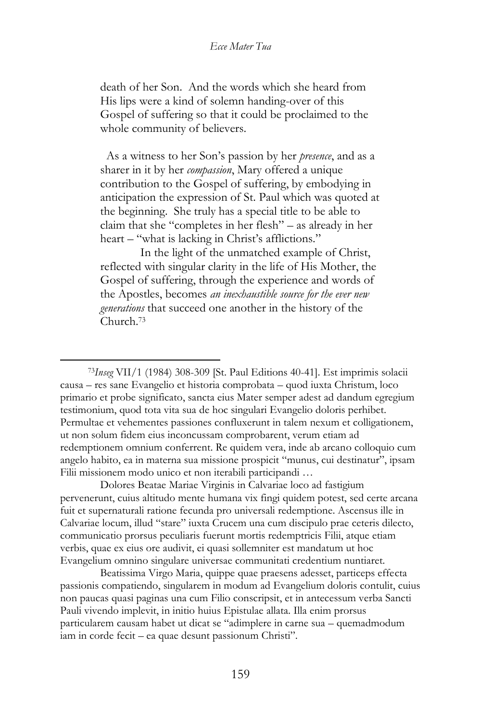death of her Son. And the words which she heard from His lips were a kind of solemn handing-over of this Gospel of suffering so that it could be proclaimed to the whole community of believers.

 As a witness to her Son's passion by her *presence*, and as a sharer in it by her *compassion*, Mary offered a unique contribution to the Gospel of suffering, by embodying in anticipation the expression of St. Paul which was quoted at the beginning. She truly has a special title to be able to claim that she "completes in her flesh" – as already in her heart – "what is lacking in Christ's afflictions."

In the light of the unmatched example of Christ, reflected with singular clarity in the life of His Mother, the Gospel of suffering, through the experience and words of the Apostles, becomes *an inexhaustible source for the ever new generations* that succeed one another in the history of the Church.<sup>73</sup>

Dolores Beatae Mariae Virginis in Calvariae loco ad fastigium pervenerunt, cuius altitudo mente humana vix fingi quidem potest, sed certe arcana fuit et supernaturali ratione fecunda pro universali redemptione. Ascensus ille in Calvariae locum, illud "stare" iuxta Crucem una cum discipulo prae ceteris dilecto, communicatio prorsus peculiaris fuerunt mortis redemptricis Filii, atque etiam verbis, quae ex eius ore audivit, ei quasi sollemniter est mandatum ut hoc Evangelium omnino singulare universae communitati credentium nuntiaret.

Beatissima Virgo Maria, quippe quae praesens adesset, particeps effecta passionis compatiendo, singularem in modum ad Evangelium doloris contulit, cuius non paucas quasi paginas una cum Filio conscripsit, et in antecessum verba Sancti Pauli vivendo implevit, in initio huius Epistulae allata. Illa enim prorsus particularem causam habet ut dicat se "adimplere in carne sua – quemadmodum iam in corde fecit – ea quae desunt passionum Christi".

<sup>73</sup>*Inseg* VII/1 (1984) 308-309 [St. Paul Editions 40-41]. Est imprimis solacii causa – res sane Evangelio et historia comprobata – quod iuxta Christum, loco primario et probe significato, sancta eius Mater semper adest ad dandum egregium testimonium, quod tota vita sua de hoc singulari Evangelio doloris perhibet. Permultae et vehementes passiones confluxerunt in talem nexum et colligationem, ut non solum fidem eius inconcussam comprobarent, verum etiam ad redemptionem omnium conferrent. Re quidem vera, inde ab arcano colloquio cum angelo habito, ea in materna sua missione prospicit "munus, cui destinatur", ipsam Filii missionem modo unico et non iterabili participandi …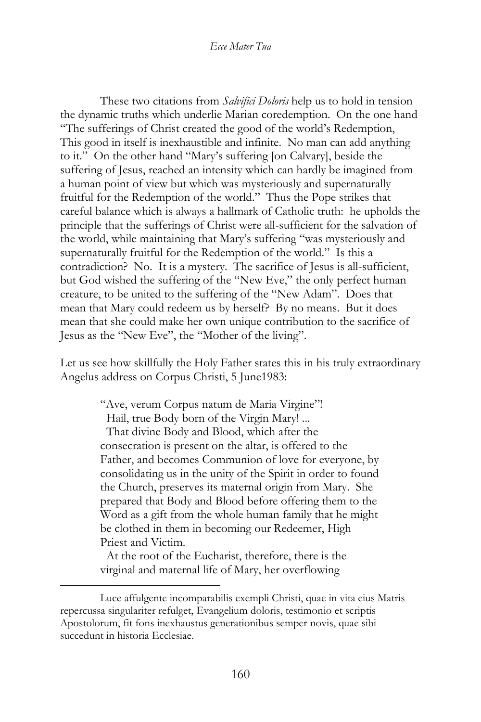These two citations from *Salvifici Doloris* help us to hold in tension the dynamic truths which underlie Marian coredemption. On the one hand "The sufferings of Christ created the good of the world's Redemption, This good in itself is inexhaustible and infinite. No man can add anything to it." On the other hand "Mary's suffering [on Calvary], beside the suffering of Jesus, reached an intensity which can hardly be imagined from a human point of view but which was mysteriously and supernaturally fruitful for the Redemption of the world." Thus the Pope strikes that careful balance which is always a hallmark of Catholic truth: he upholds the principle that the sufferings of Christ were all-sufficient for the salvation of the world, while maintaining that Mary's suffering "was mysteriously and supernaturally fruitful for the Redemption of the world." Is this a contradiction? No. It is a mystery. The sacrifice of Jesus is all-sufficient, but God wished the suffering of the "New Eve," the only perfect human creature, to be united to the suffering of the "New Adam". Does that mean that Mary could redeem us by herself? By no means. But it does mean that she could make her own unique contribution to the sacrifice of Jesus as the "New Eve", the "Mother of the living".

Let us see how skillfully the Holy Father states this in his truly extraordinary Angelus address on Corpus Christi, 5 June1983:

> "Ave, verum Corpus natum de Maria Virgine"! Hail, true Body born of the Virgin Mary! ... That divine Body and Blood, which after the consecration is present on the altar, is offered to the Father, and becomes Communion of love for everyone, by consolidating us in the unity of the Spirit in order to found the Church, preserves its maternal origin from Mary. She prepared that Body and Blood before offering them to the Word as a gift from the whole human family that he might be clothed in them in becoming our Redeemer, High Priest and Victim.

 At the root of the Eucharist, therefore, there is the virginal and maternal life of Mary, her overflowing

Luce affulgente incomparabilis exempli Christi, quae in vita eius Matris repercussa singulariter refulget, Evangelium doloris, testimonio et scriptis Apostolorum, fit fons inexhaustus generationibus semper novis, quae sibi succedunt in historia Ecclesiae.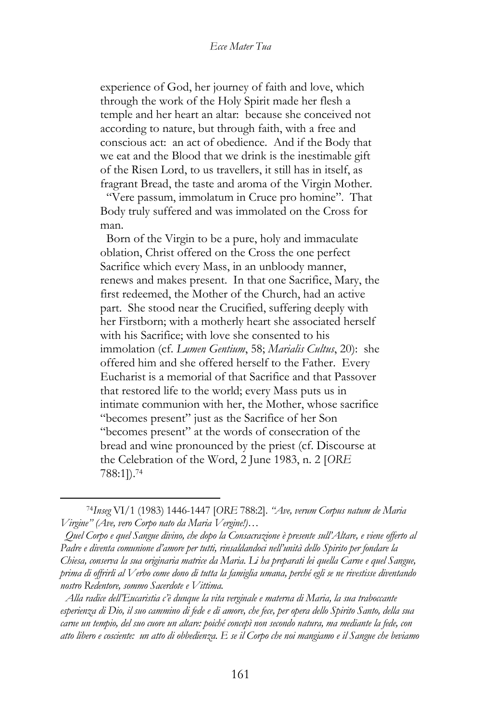experience of God, her journey of faith and love, which through the work of the Holy Spirit made her flesh a temple and her heart an altar: because she conceived not according to nature, but through faith, with a free and conscious act: an act of obedience. And if the Body that we eat and the Blood that we drink is the inestimable gift of the Risen Lord, to us travellers, it still has in itself, as fragrant Bread, the taste and aroma of the Virgin Mother. "Vere passum, immolatum in Cruce pro homine". That Body truly suffered and was immolated on the Cross for man.

 Born of the Virgin to be a pure, holy and immaculate oblation, Christ offered on the Cross the one perfect Sacrifice which every Mass, in an unbloody manner, renews and makes present. In that one Sacrifice, Mary, the first redeemed, the Mother of the Church, had an active part. She stood near the Crucified, suffering deeply with her Firstborn; with a motherly heart she associated herself with his Sacrifice; with love she consented to his immolation (cf. *Lumen Gentium*, 58; *Marialis Cultus*, 20): she offered him and she offered herself to the Father. Every Eucharist is a memorial of that Sacrifice and that Passover that restored life to the world; every Mass puts us in intimate communion with her, the Mother, whose sacrifice "becomes present" just as the Sacrifice of her Son "becomes present" at the words of consecration of the bread and wine pronounced by the priest (cf. Discourse at the Celebration of the Word, 2 June 1983, n. 2 [*ORE* 788:1]).<sup>74</sup>

 *Alla radice dell'Eucaristia c'è dunque la vita verginale e materna di Maria, la sua traboccante esperienza di Dio, il suo cammino di fede e di amore, che fece, per opera dello Spirito Santo, della sua carne un tempio, del suo cuore un altare: poiché concepì non secondo natura, ma mediante la fede, con atto libero e cosciente: un atto di obbedienza. E se il Corpo che noi mangiamo e il Sangue che beviamo* 

<sup>74</sup>*Inseg* VI/1 (1983) 1446-1447 [*ORE* 788:2]. *"Ave, verum Corpus natum de Maria Virgine" (Ave, vero Corpo nato da Maria Vergine!)…* 

*Quel Corpo e quel Sangue divino, che dopo la Consacrazione è presente sull'Altare, e viene offerto al Padre e diventa comunione d'amore per tutti, rinsaldandoci nell'unità dello Spirito per fondare la Chiesa, conserva la sua originaria matrice da Maria. Li ha preparati lei quella Carne e quel Sangue, prima di offrirli al Verbo come dono di tutta la famiglia umana, perché egli se ne rivestisse diventando nostro Redentore, sommo Sacerdote e Vittima.*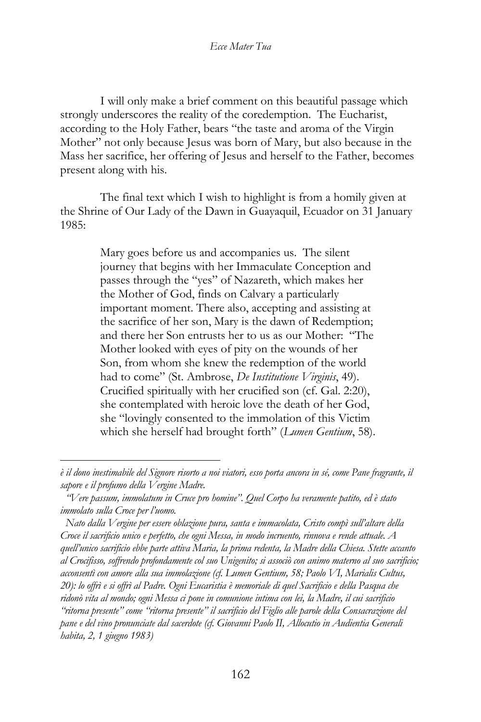I will only make a brief comment on this beautiful passage which strongly underscores the reality of the coredemption. The Eucharist, according to the Holy Father, bears "the taste and aroma of the Virgin Mother" not only because Jesus was born of Mary, but also because in the Mass her sacrifice, her offering of Jesus and herself to the Father, becomes present along with his.

The final text which I wish to highlight is from a homily given at the Shrine of Our Lady of the Dawn in Guayaquil, Ecuador on 31 January 1985:

> Mary goes before us and accompanies us. The silent journey that begins with her Immaculate Conception and passes through the "yes" of Nazareth, which makes her the Mother of God, finds on Calvary a particularly important moment. There also, accepting and assisting at the sacrifice of her son, Mary is the dawn of Redemption; and there her Son entrusts her to us as our Mother: "The Mother looked with eyes of pity on the wounds of her Son, from whom she knew the redemption of the world had to come" (St. Ambrose, *De Institutione Virginis*, 49). Crucified spiritually with her crucified son (cf. Gal. 2:20), she contemplated with heroic love the death of her God, she "lovingly consented to the immolation of this Victim which she herself had brought forth" (*Lumen Gentium*, 58).

*è il dono inestimabile del Signore risorto a noi viatori, esso porta ancora in sé, come Pane fragrante, il sapore e il profumo della Vergine Madre.* 

*"Vere passum, immolatum in Cruce pro homine". Quel Corpo ha veramente patito, ed è stato immolato sulla Croce per l'uomo.* 

*Nato dalla Vergine per essere oblazione pura, santa e immacolata, Cristo compì sull'altare della Croce il sacrificio unico e perfetto, che ogni Messa, in modo incruento, rinnova e rende attuale. A quell'unico sacrificio ebbe parte attiva Maria, la prima redenta, la Madre della Chiesa. Stette accanto al Crocifisso, soffrendo profondamente col suo Unigenito; si associò con animo materno al suo sacrificio; acconsentì con amore alla sua immolazione (cf. Lumen Gentium, 58; Paolo VI, Marialis Cultus, 20): lo offrì e si offrì al Padre. Ogni Eucaristia è memoriale di quel Sacrificio e della Pasqua che ridonò vita al mondo; ogni Messa ci pone in comunione intima con lei, la Madre, il cui sacrificio "ritorna presente" come "ritorna presente" il sacrificio del Figlio alle parole della Consacrazione del pane e del vino pronunciate dal sacerdote (cf. Giovanni Paolo II, Allocutio in Audientia Generali habita, 2, 1 giugno 1983)*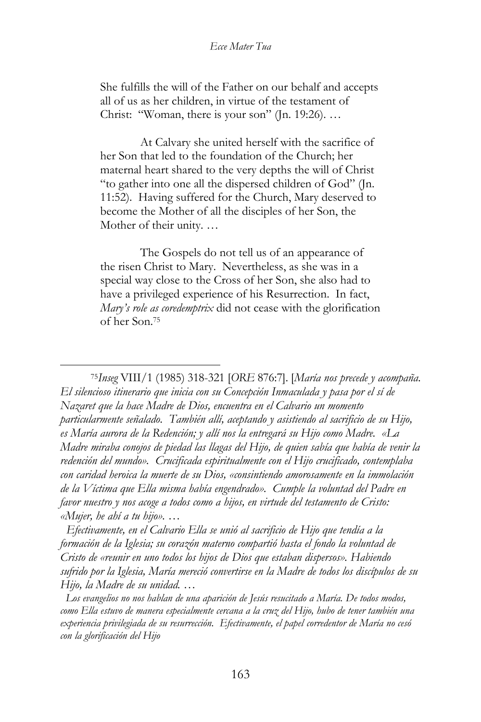She fulfills the will of the Father on our behalf and accepts all of us as her children, in virtue of the testament of Christ: "Woman, there is your son" (Jn. 19:26). …

At Calvary she united herself with the sacrifice of her Son that led to the foundation of the Church; her maternal heart shared to the very depths the will of Christ "to gather into one all the dispersed children of God" (Jn. 11:52). Having suffered for the Church, Mary deserved to become the Mother of all the disciples of her Son, the Mother of their unity. …

The Gospels do not tell us of an appearance of the risen Christ to Mary. Nevertheless, as she was in a special way close to the Cross of her Son, she also had to have a privileged experience of his Resurrection. In fact, *Mary's role as coredemptrix* did not cease with the glorification of her Son.<sup>75</sup>

<sup>75</sup>*Inseg* VIII/1 (1985) 318-321 [*ORE* 876:7]. [*María nos precede y acompaña. El silencioso itinerario que inicia con su Concepción Inmaculada y pasa por el sí de Nazaret que la hace Madre de Dios, encuentra en el Calvario un momento particularmente señalado. También allí, aceptando y asistiendo al sacrificio de su Hijo, es María aurora de la Redención; y allí nos la entregará su Hijo como Madre. «La Madre miraba conojos de piedad las llagas del Hijo, de quien sabía que había de venir la redención del mundo». Crucificada espiritualmente con el Hijo crucificado, contemplaba con caridad heroica la muerte de su Dios, «consintiendo amorosamente en la immolación de la Víctima que Ella misma había engendrado». Cumple la voluntad del Padre en favor nuestro y nos acoge a todos como a hijos, en virtude del testamento de Cristo: «Mujer, he ahí a tu hijo». …*

*Efectivamente, en el Calvario Ella se unió al sacrificio de Hijo que tendía a la formación de la Iglesia; su corazón materno compartió hasta el fondo la voluntad de Cristo de «reunir en uno todos los hijos de Dios que estaban dispersos». Habiendo sufrido por la Iglesia, María mereció convertirse en la Madre de todos los discípulos de su Hijo, la Madre de su unidad. …*

*Los evangelios no nos hablan de una aparición de Jesús resucitado a María. De todos modos, como Ella estuvo de manera especialmente cercana a la cruz del Hijo, hubo de tener también una experiencia privilegiada de su resurrección. Efectivamente, el papel corredentor de María no cesó con la glorificación del Hijo*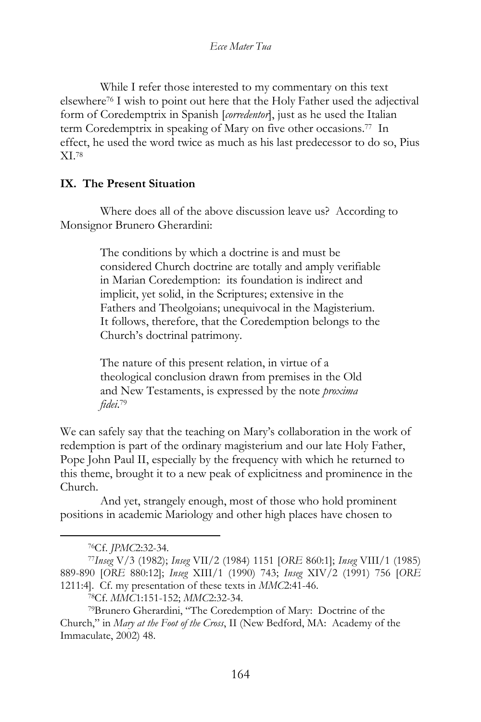While I refer those interested to my commentary on this text elsewhere<sup>76</sup> I wish to point out here that the Holy Father used the adjectival form of Coredemptrix in Spanish [*corredentor*], just as he used the Italian term Coredemptrix in speaking of Mary on five other occasions.<sup>77</sup> In effect, he used the word twice as much as his last predecessor to do so, Pius XI.<sup>78</sup>

### **IX. The Present Situation**

Where does all of the above discussion leave us? According to Monsignor Brunero Gherardini:

> The conditions by which a doctrine is and must be considered Church doctrine are totally and amply verifiable in Marian Coredemption: its foundation is indirect and implicit, yet solid, in the Scriptures; extensive in the Fathers and Theolgoians; unequivocal in the Magisterium. It follows, therefore, that the Coredemption belongs to the Church's doctrinal patrimony.

The nature of this present relation, in virtue of a theological conclusion drawn from premises in the Old and New Testaments, is expressed by the note *proxima fidei*. 79

We can safely say that the teaching on Mary's collaboration in the work of redemption is part of the ordinary magisterium and our late Holy Father, Pope John Paul II, especially by the frequency with which he returned to this theme, brought it to a new peak of explicitness and prominence in the Church.

And yet, strangely enough, most of those who hold prominent positions in academic Mariology and other high places have chosen to

<sup>76</sup>Cf. *JPMC*2:32-34.

<sup>77</sup>*Inseg* V/3 (1982); *Inseg* VII/2 (1984) 1151 [*ORE* 860:1]; *Inseg* VIII/1 (1985) 889-890 [*ORE* 880:12]; *Inseg* XIII/1 (1990) 743; *Inseg* XIV/2 (1991) 756 [*ORE* 1211:4]. Cf. my presentation of these texts in *MMC*2:41-46.

<sup>78</sup>Cf. *MMC*1:151-152; *MMC*2:32-34.

<sup>79</sup>Brunero Gherardini, "The Coredemption of Mary: Doctrine of the Church," in *Mary at the Foot of the Cross*, II (New Bedford, MA: Academy of the Immaculate, 2002) 48.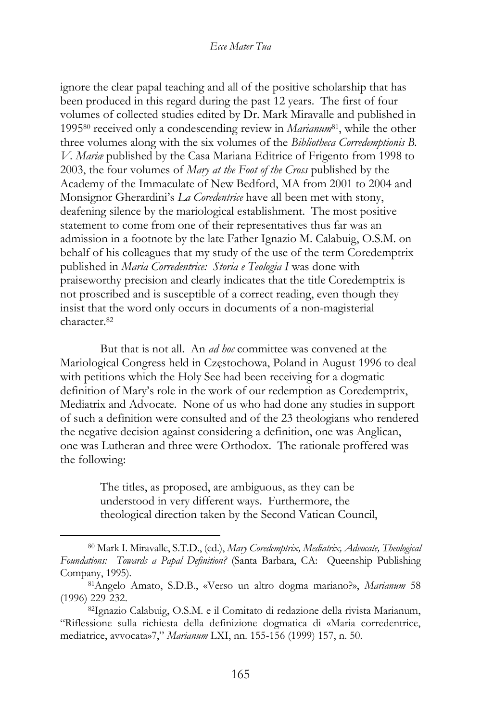ignore the clear papal teaching and all of the positive scholarship that has been produced in this regard during the past 12 years. The first of four volumes of collected studies edited by Dr. Mark Miravalle and published in 1995<sup>80</sup> received only a condescending review in *Marianum*81, while the other three volumes along with the six volumes of the *Bibliotheca Corredemptionis B. V. Mariæ* published by the Casa Mariana Editrice of Frigento from 1998 to 2003, the four volumes of *Mary at the Foot of the Cross* published by the Academy of the Immaculate of New Bedford, MA from 2001 to 2004 and Monsignor Gherardini's *La Coredentrice* have all been met with stony, deafening silence by the mariological establishment. The most positive statement to come from one of their representatives thus far was an admission in a footnote by the late Father Ignazio M. Calabuig, O.S.M. on behalf of his colleagues that my study of the use of the term Coredemptrix published in *Maria Corredentrice: Storia e Teologia I* was done with praiseworthy precision and clearly indicates that the title Coredemptrix is not proscribed and is susceptible of a correct reading, even though they insist that the word only occurs in documents of a non-magisterial character.<sup>82</sup>

But that is not all. An *ad hoc* committee was convened at the Mariological Congress held in Częstochowa, Poland in August 1996 to deal with petitions which the Holy See had been receiving for a dogmatic definition of Mary's role in the work of our redemption as Coredemptrix, Mediatrix and Advocate. None of us who had done any studies in support of such a definition were consulted and of the 23 theologians who rendered the negative decision against considering a definition, one was Anglican, one was Lutheran and three were Orthodox. The rationale proffered was the following:

> The titles, as proposed, are ambiguous, as they can be understood in very different ways. Furthermore, the theological direction taken by the Second Vatican Council,

<sup>80</sup> Mark I. Miravalle, S.T.D., (ed.), *Mary Coredemptrix, Mediatrix, Advocate, Theological Foundations: Towards a Papal Definition?* (Santa Barbara, CA: Queenship Publishing Company, 1995).

<sup>81</sup>Angelo Amato, S.D.B., «Verso un altro dogma mariano?», *Marianum* 58 (1996) 229-232.

<sup>82</sup>Ignazio Calabuig, O.S.M. e il Comitato di redazione della rivista Marianum, "Riflessione sulla richiesta della definizione dogmatica di «Maria corredentrice, mediatrice, avvocata»7," *Marianum* LXI, nn. 155-156 (1999) 157, n. 50.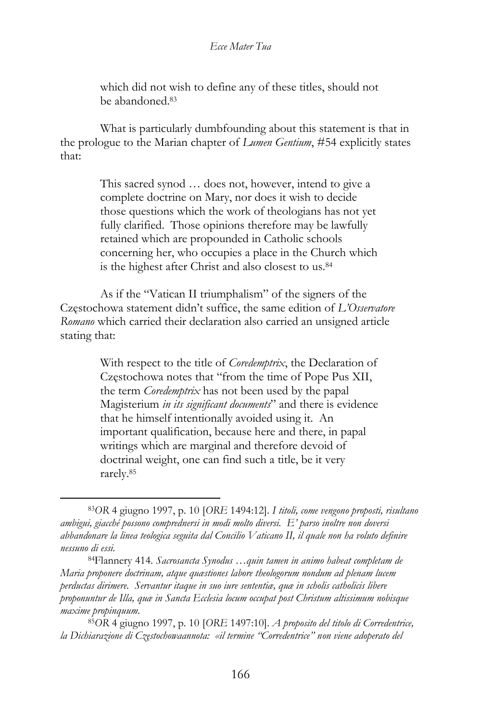which did not wish to define any of these titles, should not be abandoned.<sup>83</sup>

What is particularly dumbfounding about this statement is that in the prologue to the Marian chapter of *Lumen Gentium*, #54 explicitly states that:

> This sacred synod … does not, however, intend to give a complete doctrine on Mary, nor does it wish to decide those questions which the work of theologians has not yet fully clarified. Those opinions therefore may be lawfully retained which are propounded in Catholic schools concerning her, who occupies a place in the Church which is the highest after Christ and also closest to us.<sup>84</sup>

As if the "Vatican II triumphalism" of the signers of the Częstochowa statement didn't suffice, the same edition of *L'Osservatore Romano* which carried their declaration also carried an unsigned article stating that:

> With respect to the title of *Coredemptrix*, the Declaration of Częstochowa notes that "from the time of Pope Pus XII, the term *Coredemptrix* has not been used by the papal Magisterium *in its significant documents*" and there is evidence that he himself intentionally avoided using it. An important qualification, because here and there, in papal writings which are marginal and therefore devoid of doctrinal weight, one can find such a title, be it very rarely.<sup>85</sup>

<sup>83</sup>*OR* 4 giugno 1997, p. 10 [*ORE* 1494:12]. *I titoli, come vengono proposti, risultano ambigui, giacché possono comprednersi in modi molto diversi. E' parso inoltre non doversi abbandonare la linea teologica seguita dal Concilio Vaticano II, il quale non ha voluto definire nessuno di essi.*

<sup>84</sup>Flannery 414. *Sacrosancta Synodus …quin tamen in animo habeat completam de Maria proponere doctrinam, atque quæstiones labore theologorum nondum ad plenam lucem perductas dirimere. Servantur itaque in suo iure sententiæ, quæ in scholis catholicis libere proponuntur de Illa, quæ in Sancta Ecclesia locum occupat post Christum altissimum nobisque maxime propinquum.*

<sup>85</sup>*OR* 4 giugno 1997, p. 10 [*ORE* 1497:10]. *A proposito del titolo di Corredentrice, la Dichiarazione di Częstochowaannota: «il termine "Corredentrice" non viene adoperato del*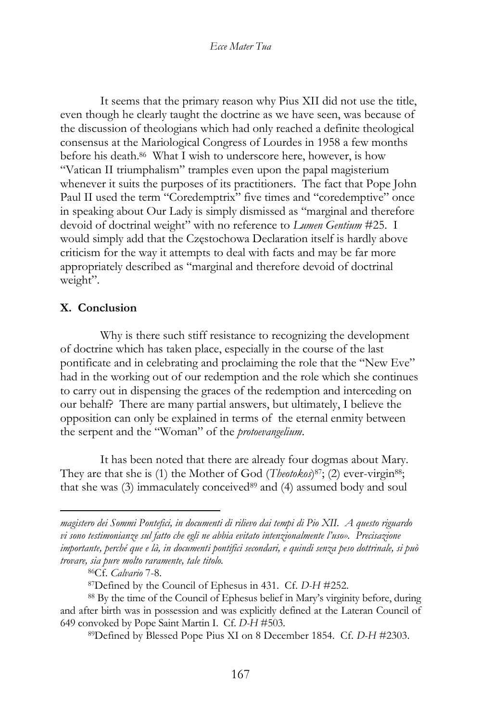It seems that the primary reason why Pius XII did not use the title, even though he clearly taught the doctrine as we have seen, was because of the discussion of theologians which had only reached a definite theological consensus at the Mariological Congress of Lourdes in 1958 a few months before his death.<sup>86</sup> What I wish to underscore here, however, is how "Vatican II triumphalism" tramples even upon the papal magisterium whenever it suits the purposes of its practitioners. The fact that Pope John Paul II used the term "Coredemptrix" five times and "coredemptive" once in speaking about Our Lady is simply dismissed as "marginal and therefore devoid of doctrinal weight" with no reference to *Lumen Gentium* #25. I would simply add that the Częstochowa Declaration itself is hardly above criticism for the way it attempts to deal with facts and may be far more appropriately described as "marginal and therefore devoid of doctrinal weight".

### **X. Conclusion**

Why is there such stiff resistance to recognizing the development of doctrine which has taken place, especially in the course of the last pontificate and in celebrating and proclaiming the role that the "New Eve" had in the working out of our redemption and the role which she continues to carry out in dispensing the graces of the redemption and interceding on our behalf? There are many partial answers, but ultimately, I believe the opposition can only be explained in terms of the eternal enmity between the serpent and the "Woman" of the *protoevangelium*.

It has been noted that there are already four dogmas about Mary. They are that she is (1) the Mother of God (*Theotokos*)<sup>87</sup>; (2) ever-virgin<sup>88</sup>; that she was (3) immaculately conceived<sup>89</sup> and (4) assumed body and soul

*magistero dei Sommi Pontefici, in documenti di rilievo dai tempi di Pio XII. A questo riguardo vi sono testimonianze sul fatto che egli ne abbia evitato intenzionalmente l'uso». Precisazione importante, perché que e là, in documenti pontifici secondari, e quindi senza peso dottrinale, si può trovare, sia pure molto raramente, tale titolo.*

<sup>86</sup>Cf. *Calvario* 7-8.

<sup>87</sup>Defined by the Council of Ephesus in 431. Cf. *D-H* #252.

<sup>88</sup> By the time of the Council of Ephesus belief in Mary's virginity before, during and after birth was in possession and was explicitly defined at the Lateran Council of 649 convoked by Pope Saint Martin I. Cf. *D-H* #503.

<sup>89</sup>Defined by Blessed Pope Pius XI on 8 December 1854. Cf. *D-H* #2303.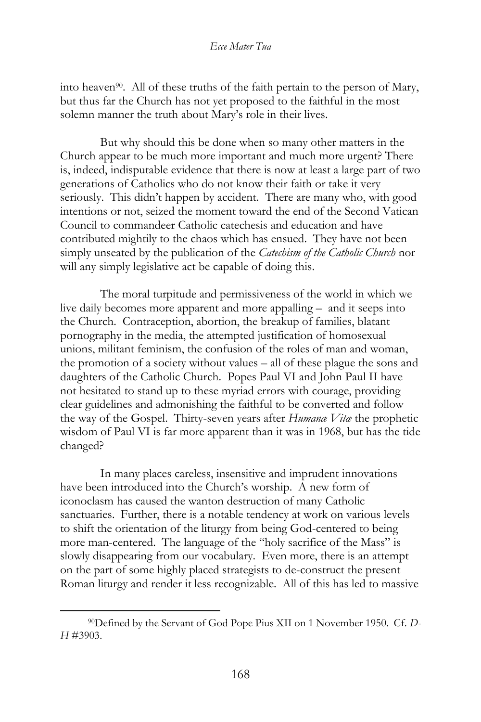into heaven90. All of these truths of the faith pertain to the person of Mary, but thus far the Church has not yet proposed to the faithful in the most solemn manner the truth about Mary's role in their lives.

But why should this be done when so many other matters in the Church appear to be much more important and much more urgent? There is, indeed, indisputable evidence that there is now at least a large part of two generations of Catholics who do not know their faith or take it very seriously. This didn't happen by accident. There are many who, with good intentions or not, seized the moment toward the end of the Second Vatican Council to commandeer Catholic catechesis and education and have contributed mightily to the chaos which has ensued. They have not been simply unseated by the publication of the *Catechism of the Catholic Church* nor will any simply legislative act be capable of doing this.

The moral turpitude and permissiveness of the world in which we live daily becomes more apparent and more appalling – and it seeps into the Church. Contraception, abortion, the breakup of families, blatant pornography in the media, the attempted justification of homosexual unions, militant feminism, the confusion of the roles of man and woman, the promotion of a society without values – all of these plague the sons and daughters of the Catholic Church. Popes Paul VI and John Paul II have not hesitated to stand up to these myriad errors with courage, providing clear guidelines and admonishing the faithful to be converted and follow the way of the Gospel. Thirty-seven years after *Humanæ Vitæ* the prophetic wisdom of Paul VI is far more apparent than it was in 1968, but has the tide changed?

In many places careless, insensitive and imprudent innovations have been introduced into the Church's worship. A new form of iconoclasm has caused the wanton destruction of many Catholic sanctuaries. Further, there is a notable tendency at work on various levels to shift the orientation of the liturgy from being God-centered to being more man-centered. The language of the "holy sacrifice of the Mass" is slowly disappearing from our vocabulary. Even more, there is an attempt on the part of some highly placed strategists to de-construct the present Roman liturgy and render it less recognizable. All of this has led to massive

<sup>90</sup>Defined by the Servant of God Pope Pius XII on 1 November 1950. Cf. *D-H* #3903.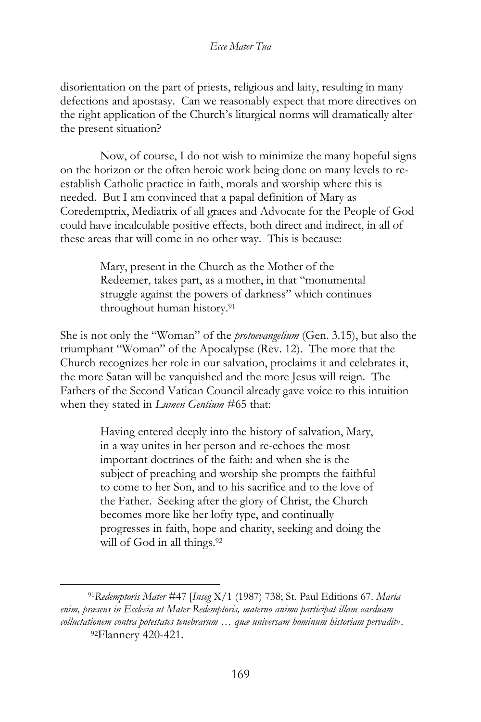disorientation on the part of priests, religious and laity, resulting in many defections and apostasy. Can we reasonably expect that more directives on the right application of the Church's liturgical norms will dramatically alter the present situation?

Now, of course, I do not wish to minimize the many hopeful signs on the horizon or the often heroic work being done on many levels to reestablish Catholic practice in faith, morals and worship where this is needed. But I am convinced that a papal definition of Mary as Coredemptrix, Mediatrix of all graces and Advocate for the People of God could have incalculable positive effects, both direct and indirect, in all of these areas that will come in no other way. This is because:

> Mary, present in the Church as the Mother of the Redeemer, takes part, as a mother, in that "monumental struggle against the powers of darkness" which continues throughout human history.<sup>91</sup>

She is not only the "Woman" of the *protoevangelium* (Gen. 3.15), but also the triumphant "Woman" of the Apocalypse (Rev. 12). The more that the Church recognizes her role in our salvation, proclaims it and celebrates it, the more Satan will be vanquished and the more Jesus will reign. The Fathers of the Second Vatican Council already gave voice to this intuition when they stated in *Lumen Gentium* #65 that:

> Having entered deeply into the history of salvation, Mary, in a way unites in her person and re-echoes the most important doctrines of the faith: and when she is the subject of preaching and worship she prompts the faithful to come to her Son, and to his sacrifice and to the love of the Father. Seeking after the glory of Christ, the Church becomes more like her lofty type, and continually progresses in faith, hope and charity, seeking and doing the will of God in all things.<sup>92</sup>

<sup>91</sup>*Redemptoris Mater* #47 [*Inseg* X/1 (1987) 738; St. Paul Editions 67. *Maria enim, præsens in Ecclesia ut Mater Redemptoris, materno animo participat illam «arduam colluctationem contra potestates tenebrarum … quæ universam hominum historiam pervadit»*. 92Flannery 420-421.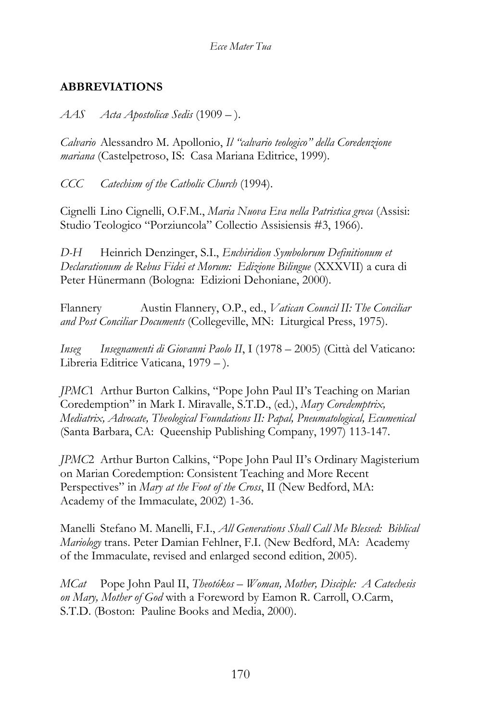# **ABBREVIATIONS**

*AAS Acta Apostolicæ Sedis* (1909 – ).

*Calvario* Alessandro M. Apollonio, *Il "calvario teologico" della Coredenzione mariana* (Castelpetroso, IS: Casa Mariana Editrice, 1999).

*CCC Catechism of the Catholic Church* (1994).

Cignelli Lino Cignelli, O.F.M., *Maria Nuova Eva nella Patristica greca* (Assisi: Studio Teologico "Porziuncola" Collectio Assisiensis #3, 1966).

*D-H* Heinrich Denzinger, S.I., *Enchiridion Symbolorum Definitionum et Declarationum de Rebus Fidei et Morum: Edizione Bilingue* (XXXVII) a cura di Peter Hünermann (Bologna: Edizioni Dehoniane, 2000).

Flannery Austin Flannery, O.P., ed., *Vatican Council II: The Conciliar and Post Conciliar Documents* (Collegeville, MN: Liturgical Press, 1975).

*Inseg Insegnamenti di Giovanni Paolo II*, I (1978 – 2005) (Città del Vaticano: Libreria Editrice Vaticana, 1979 – ).

*JPMC*1 Arthur Burton Calkins, "Pope John Paul II's Teaching on Marian Coredemption" in Mark I. Miravalle, S.T.D., (ed.), *Mary Coredemptrix, Mediatrix, Advocate, Theological Foundations II: Papal, Pneumatological, Ecumenical* (Santa Barbara, CA: Queenship Publishing Company, 1997) 113-147.

*JPMC*2 Arthur Burton Calkins, "Pope John Paul II's Ordinary Magisterium on Marian Coredemption: Consistent Teaching and More Recent Perspectives" in *Mary at the Foot of the Cross*, II (New Bedford, MA: Academy of the Immaculate, 2002) 1-36.

Manelli Stefano M. Manelli, F.I., *All Generations Shall Call Me Blessed: Biblical Mariology* trans. Peter Damian Fehlner, F.I. (New Bedford, MA: Academy of the Immaculate, revised and enlarged second edition, 2005).

*MCat* Pope John Paul II, *Theotókos – Woman, Mother, Disciple: A Catechesis on Mary, Mother of God* with a Foreword by Eamon R. Carroll, O.Carm, S.T.D. (Boston: Pauline Books and Media, 2000).